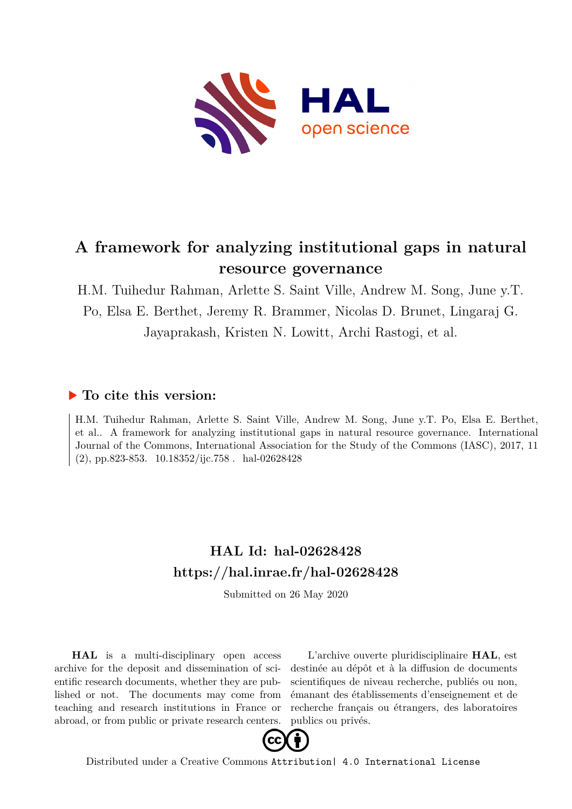

# **A framework for analyzing institutional gaps in natural resource governance**

H.M. Tuihedur Rahman, Arlette S. Saint Ville, Andrew M. Song, June y.T. Po, Elsa E. Berthet, Jeremy R. Brammer, Nicolas D. Brunet, Lingaraj G. Jayaprakash, Kristen N. Lowitt, Archi Rastogi, et al.

# **To cite this version:**

H.M. Tuihedur Rahman, Arlette S. Saint Ville, Andrew M. Song, June y.T. Po, Elsa E. Berthet, et al.. A framework for analyzing institutional gaps in natural resource governance. International Journal of the Commons, International Association for the Study of the Commons (IASC), 2017, 11  $(2)$ , pp.823-853.  $10.18352$ /iic.758  $\ldots$ hal-02628428

# **HAL Id: hal-02628428 <https://hal.inrae.fr/hal-02628428>**

Submitted on 26 May 2020

**HAL** is a multi-disciplinary open access archive for the deposit and dissemination of scientific research documents, whether they are published or not. The documents may come from teaching and research institutions in France or abroad, or from public or private research centers.

L'archive ouverte pluridisciplinaire **HAL**, est destinée au dépôt et à la diffusion de documents scientifiques de niveau recherche, publiés ou non, émanant des établissements d'enseignement et de recherche français ou étrangers, des laboratoires publics ou privés.



Distributed under a Creative Commons [Attribution| 4.0 International License](http://creativecommons.org/licenses/by/4.0/)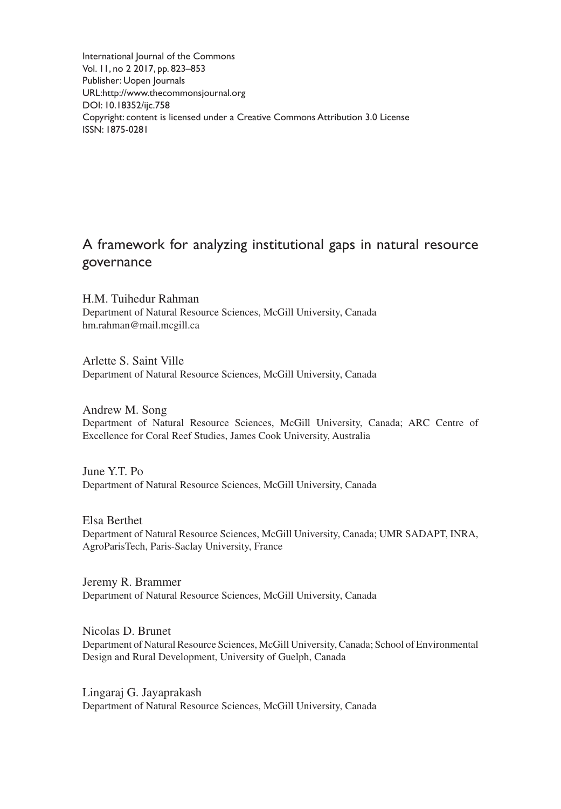International Journal of the Commons Vol. 11, no 2 2017, pp. 823–853 Publisher: Uopen Journals URL[:http://www.thecommonsjournal.org](http://www.thecommonsjournal.org) [DOI: 10.18352/ijc.758](http://doi.org/10.18352/ijc.758) Copyright: content is licensed under a Creative Commons Attribution 3.0 License ISSN: 1875-0281

# A framework for analyzing institutional gaps in natural resource governance

H.M. Tuihedur Rahman Department of Natural Resource Sciences, McGill University, Canada [hm.rahman@mail.mcgill.ca](mailto:hm.rahman%40mail.mcgill.ca)

Arlette S. Saint Ville Department of Natural Resource Sciences, McGill University, Canada

Andrew M. Song Department of Natural Resource Sciences, McGill University, Canada; ARC Centre of Excellence for Coral Reef Studies, James Cook University, Australia

June Y.T. Po Department of Natural Resource Sciences, McGill University, Canada

Elsa Berthet Department of Natural Resource Sciences, McGill University, Canada; UMR SADAPT, INRA, AgroParisTech, Paris-Saclay University, France

Jeremy R. Brammer Department of Natural Resource Sciences, McGill University, Canada

Nicolas D. Brunet Department of Natural Resource Sciences, McGill University, Canada; School of Environmental Design and Rural Development, University of Guelph, Canada

Lingaraj G. Jayaprakash Department of Natural Resource Sciences, McGill University, Canada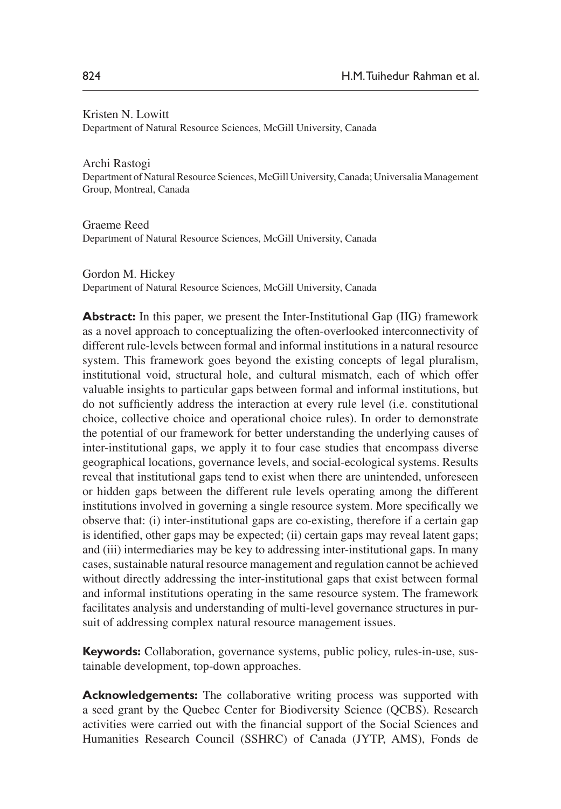#### Kristen N. Lowitt Department of Natural Resource Sciences, McGill University, Canada

Archi Rastogi Department of Natural Resource Sciences, McGill University, Canada; Universalia Management Group, Montreal, Canada

Graeme Reed Department of Natural Resource Sciences, McGill University, Canada

Gordon M. Hickey Department of Natural Resource Sciences, McGill University, Canada

**Abstract:** In this paper, we present the Inter-Institutional Gap (IIG) framework as a novel approach to conceptualizing the often-overlooked interconnectivity of different rule-levels between formal and informal institutions in a natural resource system. This framework goes beyond the existing concepts of legal pluralism, institutional void, structural hole, and cultural mismatch, each of which offer valuable insights to particular gaps between formal and informal institutions, but do not sufficiently address the interaction at every rule level (i.e. constitutional choice, collective choice and operational choice rules). In order to demonstrate the potential of our framework for better understanding the underlying causes of inter-institutional gaps, we apply it to four case studies that encompass diverse geographical locations, governance levels, and social-ecological systems. Results reveal that institutional gaps tend to exist when there are unintended, unforeseen or hidden gaps between the different rule levels operating among the different institutions involved in governing a single resource system. More specifically we observe that: (i) inter-institutional gaps are co-existing, therefore if a certain gap is identified, other gaps may be expected; (ii) certain gaps may reveal latent gaps; and (iii) intermediaries may be key to addressing inter-institutional gaps. In many cases, sustainable natural resource management and regulation cannot be achieved without directly addressing the inter-institutional gaps that exist between formal and informal institutions operating in the same resource system. The framework facilitates analysis and understanding of multi-level governance structures in pursuit of addressing complex natural resource management issues.

**Keywords:** Collaboration, governance systems, public policy, rules-in-use, sustainable development, top-down approaches.

**Acknowledgements:** The collaborative writing process was supported with a seed grant by the Quebec Center for Biodiversity Science (QCBS). Research activities were carried out with the financial support of the Social Sciences and Humanities Research Council (SSHRC) of Canada (JYTP, AMS), Fonds de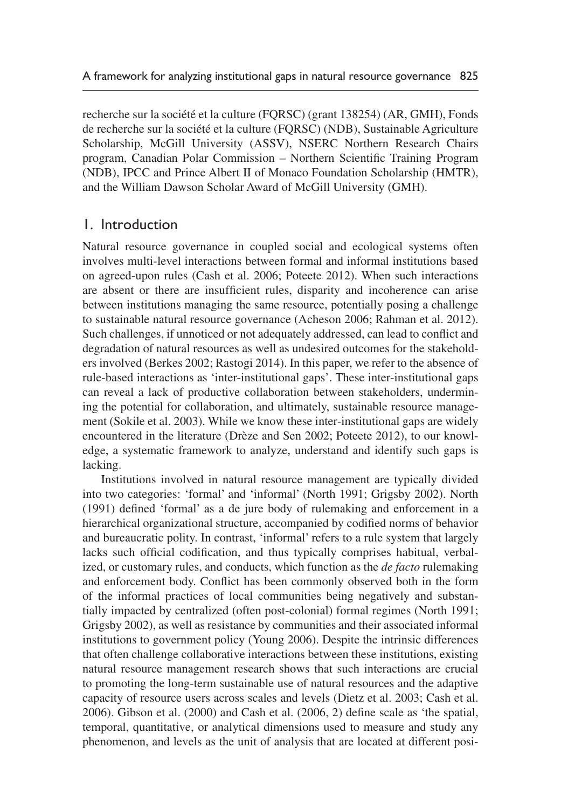recherche sur la société et la culture (FQRSC) (grant 138254) (AR, GMH), Fonds de recherche sur la société et la culture (FQRSC) (NDB), Sustainable Agriculture Scholarship, McGill University (ASSV), NSERC Northern Research Chairs program, Canadian Polar Commission – Northern Scientific Training Program (NDB), IPCC and Prince Albert II of Monaco Foundation Scholarship (HMTR), and the William Dawson Scholar Award of McGill University (GMH).

# 1. Introduction

Natural resource governance in coupled social and ecological systems often involves multi-level interactions between formal and informal institutions based on agreed-upon rules (Cash et al. 2006; Poteete 2012). When such interactions are absent or there are insufficient rules, disparity and incoherence can arise between institutions managing the same resource, potentially posing a challenge to sustainable natural resource governance (Acheson 2006; Rahman et al. 2012). Such challenges, if unnoticed or not adequately addressed, can lead to conflict and degradation of natural resources as well as undesired outcomes for the stakeholders involved (Berkes 2002; Rastogi 2014). In this paper, we refer to the absence of rule-based interactions as 'inter-institutional gaps'. These inter-institutional gaps can reveal a lack of productive collaboration between stakeholders, undermining the potential for collaboration, and ultimately, sustainable resource management (Sokile et al. 2003). While we know these inter-institutional gaps are widely encountered in the literature (Drèze and Sen 2002; Poteete 2012), to our knowledge, a systematic framework to analyze, understand and identify such gaps is lacking.

Institutions involved in natural resource management are typically divided into two categories: 'formal' and 'informal' (North 1991; Grigsby 2002). North (1991) defined 'formal' as a de jure body of rulemaking and enforcement in a hierarchical organizational structure, accompanied by codified norms of behavior and bureaucratic polity. In contrast, 'informal' refers to a rule system that largely lacks such official codification, and thus typically comprises habitual, verbalized, or customary rules, and conducts, which function as the *de facto* rulemaking and enforcement body. Conflict has been commonly observed both in the form of the informal practices of local communities being negatively and substantially impacted by centralized (often post-colonial) formal regimes (North 1991; Grigsby 2002), as well as resistance by communities and their associated informal institutions to government policy (Young 2006). Despite the intrinsic differences that often challenge collaborative interactions between these institutions, existing natural resource management research shows that such interactions are crucial to promoting the long-term sustainable use of natural resources and the adaptive capacity of resource users across scales and levels (Dietz et al. 2003; Cash et al. 2006). Gibson et al. (2000) and Cash et al. (2006, 2) define scale as 'the spatial, temporal, quantitative, or analytical dimensions used to measure and study any phenomenon, and levels as the unit of analysis that are located at different posi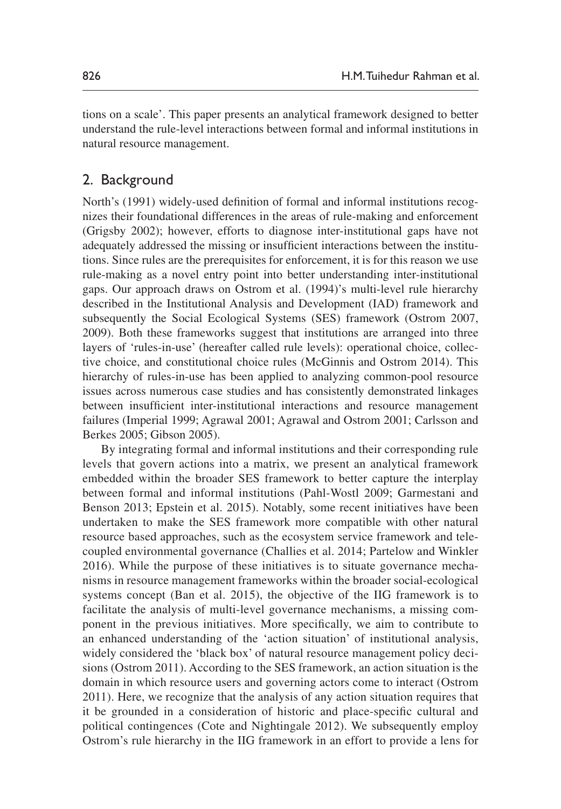tions on a scale'. This paper presents an analytical framework designed to better understand the rule-level interactions between formal and informal institutions in natural resource management.

## 2. Background

North's (1991) widely-used definition of formal and informal institutions recognizes their foundational differences in the areas of rule-making and enforcement (Grigsby 2002); however, efforts to diagnose inter-institutional gaps have not adequately addressed the missing or insufficient interactions between the institutions. Since rules are the prerequisites for enforcement, it is for this reason we use rule-making as a novel entry point into better understanding inter-institutional gaps. Our approach draws on Ostrom et al. (1994)'s multi-level rule hierarchy described in the Institutional Analysis and Development (IAD) framework and subsequently the Social Ecological Systems (SES) framework (Ostrom 2007, 2009). Both these frameworks suggest that institutions are arranged into three layers of 'rules-in-use' (hereafter called rule levels): operational choice, collective choice, and constitutional choice rules (McGinnis and Ostrom 2014). This hierarchy of rules-in-use has been applied to analyzing common-pool resource issues across numerous case studies and has consistently demonstrated linkages between insufficient inter-institutional interactions and resource management failures (Imperial 1999; Agrawal 2001; Agrawal and Ostrom 2001; Carlsson and Berkes 2005; Gibson 2005).

By integrating formal and informal institutions and their corresponding rule levels that govern actions into a matrix, we present an analytical framework embedded within the broader SES framework to better capture the interplay between formal and informal institutions (Pahl-Wostl 2009; Garmestani and Benson 2013; Epstein et al. 2015). Notably, some recent initiatives have been undertaken to make the SES framework more compatible with other natural resource based approaches, such as the ecosystem service framework and telecoupled environmental governance (Challies et al. 2014; Partelow and Winkler 2016). While the purpose of these initiatives is to situate governance mechanisms in resource management frameworks within the broader social-ecological systems concept (Ban et al. 2015), the objective of the IIG framework is to facilitate the analysis of multi-level governance mechanisms, a missing component in the previous initiatives. More specifically, we aim to contribute to an enhanced understanding of the 'action situation' of institutional analysis, widely considered the 'black box' of natural resource management policy decisions (Ostrom 2011). According to the SES framework, an action situation is the domain in which resource users and governing actors come to interact (Ostrom 2011). Here, we recognize that the analysis of any action situation requires that it be grounded in a consideration of historic and place-specific cultural and political contingences (Cote and Nightingale 2012). We subsequently employ Ostrom's rule hierarchy in the IIG framework in an effort to provide a lens for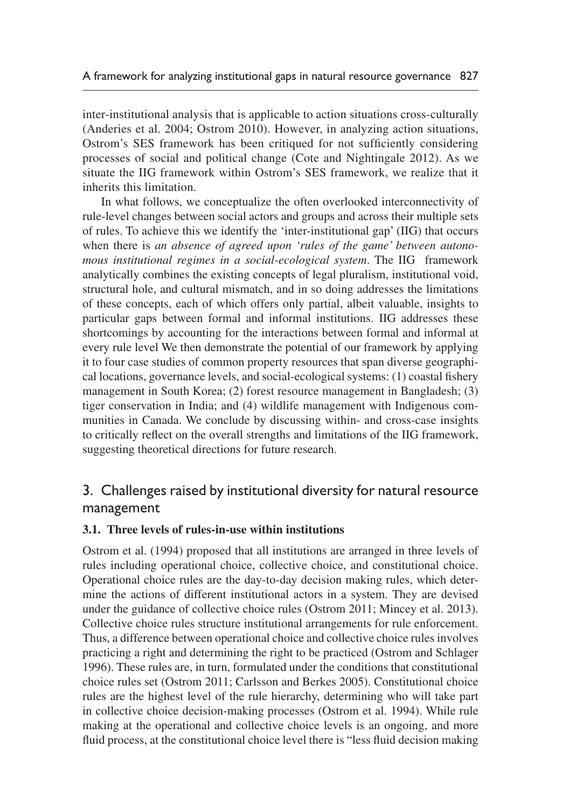inter-institutional analysis that is applicable to action situations cross-culturally (Anderies et al. 2004; Ostrom 2010). However, in analyzing action situations, Ostrom's SES framework has been critiqued for not sufficiently considering processes of social and political change (Cote and Nightingale 2012). As we situate the IIG framework within Ostrom's SES framework, we realize that it inherits this limitation.

In what follows, we conceptualize the often overlooked interconnectivity of rule-level changes between social actors and groups and across their multiple sets of rules. To achieve this we identify the 'inter-institutional gap' (IIG) that occurs when there is *an absence of agreed upon 'rules of the game' between autonomous institutional regimes in a social-ecological system*. The IIG framework analytically combines the existing concepts of legal pluralism, institutional void, structural hole, and cultural mismatch, and in so doing addresses the limitations of these concepts, each of which offers only partial, albeit valuable, insights to particular gaps between formal and informal institutions. IIG addresses these shortcomings by accounting for the interactions between formal and informal at every rule level We then demonstrate the potential of our framework by applying it to four case studies of common property resources that span diverse geographical locations, governance levels, and social-ecological systems: (1) coastal fishery management in South Korea; (2) forest resource management in Bangladesh; (3) tiger conservation in India; and (4) wildlife management with Indigenous communities in Canada. We conclude by discussing within- and cross-case insights to critically reflect on the overall strengths and limitations of the IIG framework, suggesting theoretical directions for future research.

# 3. Challenges raised by institutional diversity for natural resource management

## **3.1. Three levels of rules-in-use within institutions**

Ostrom et al. (1994) proposed that all institutions are arranged in three levels of rules including operational choice, collective choice, and constitutional choice. Operational choice rules are the day-to-day decision making rules, which determine the actions of different institutional actors in a system. They are devised under the guidance of collective choice rules (Ostrom 2011; Mincey et al. 2013). Collective choice rules structure institutional arrangements for rule enforcement. Thus, a difference between operational choice and collective choice rules involves practicing a right and determining the right to be practiced (Ostrom and Schlager 1996). These rules are, in turn, formulated under the conditions that constitutional choice rules set (Ostrom 2011; Carlsson and Berkes 2005). Constitutional choice rules are the highest level of the rule hierarchy, determining who will take part in collective choice decision-making processes (Ostrom et al. 1994). While rule making at the operational and collective choice levels is an ongoing, and more fluid process, at the constitutional choice level there is "less fluid decision making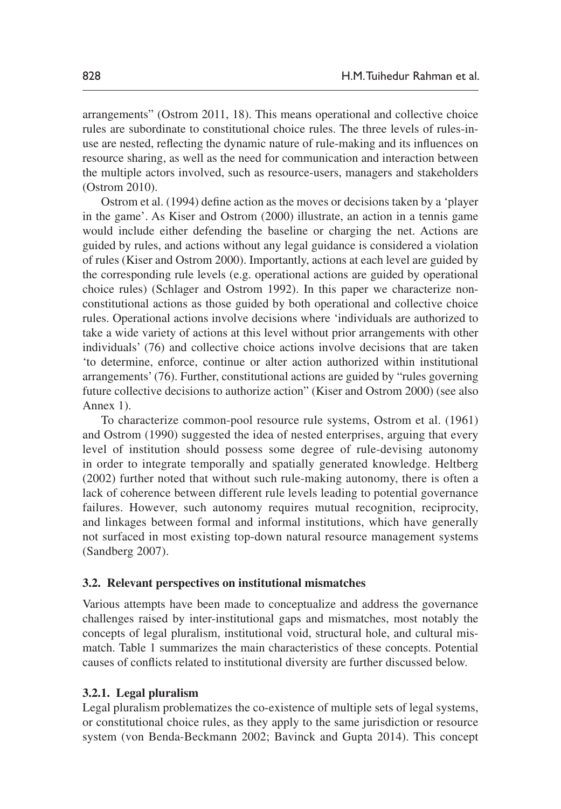arrangements" (Ostrom 2011, 18). This means operational and collective choice rules are subordinate to constitutional choice rules. The three levels of rules-inuse are nested, reflecting the dynamic nature of rule-making and its influences on resource sharing, as well as the need for communication and interaction between the multiple actors involved, such as resource-users, managers and stakeholders (Ostrom 2010).

Ostrom et al. (1994) define action as the moves or decisions taken by a 'player in the game'. As Kiser and Ostrom (2000) illustrate, an action in a tennis game would include either defending the baseline or charging the net. Actions are guided by rules, and actions without any legal guidance is considered a violation of rules (Kiser and Ostrom 2000). Importantly, actions at each level are guided by the corresponding rule levels (e.g. operational actions are guided by operational choice rules) (Schlager and Ostrom 1992). In this paper we characterize nonconstitutional actions as those guided by both operational and collective choice rules. Operational actions involve decisions where 'individuals are authorized to take a wide variety of actions at this level without prior arrangements with other individuals' (76) and collective choice actions involve decisions that are taken 'to determine, enforce, continue or alter action authorized within institutional arrangements' (76). Further, constitutional actions are guided by "rules governing future collective decisions to authorize action" (Kiser and Ostrom 2000) (see also Annex 1).

To characterize common-pool resource rule systems, Ostrom et al. (1961) and Ostrom (1990) suggested the idea of nested enterprises, arguing that every level of institution should possess some degree of rule-devising autonomy in order to integrate temporally and spatially generated knowledge. Heltberg (2002) further noted that without such rule-making autonomy, there is often a lack of coherence between different rule levels leading to potential governance failures. However, such autonomy requires mutual recognition, reciprocity, and linkages between formal and informal institutions, which have generally not surfaced in most existing top-down natural resource management systems (Sandberg 2007).

#### **3.2. Relevant perspectives on institutional mismatches**

Various attempts have been made to conceptualize and address the governance challenges raised by inter-institutional gaps and mismatches, most notably the concepts of legal pluralism, institutional void, structural hole, and cultural mismatch. Table 1 summarizes the main characteristics of these concepts. Potential causes of conflicts related to institutional diversity are further discussed below.

#### **3.2.1. Legal pluralism**

Legal pluralism problematizes the co-existence of multiple sets of legal systems, or constitutional choice rules, as they apply to the same jurisdiction or resource system (von Benda-Beckmann 2002; Bavinck and Gupta 2014). This concept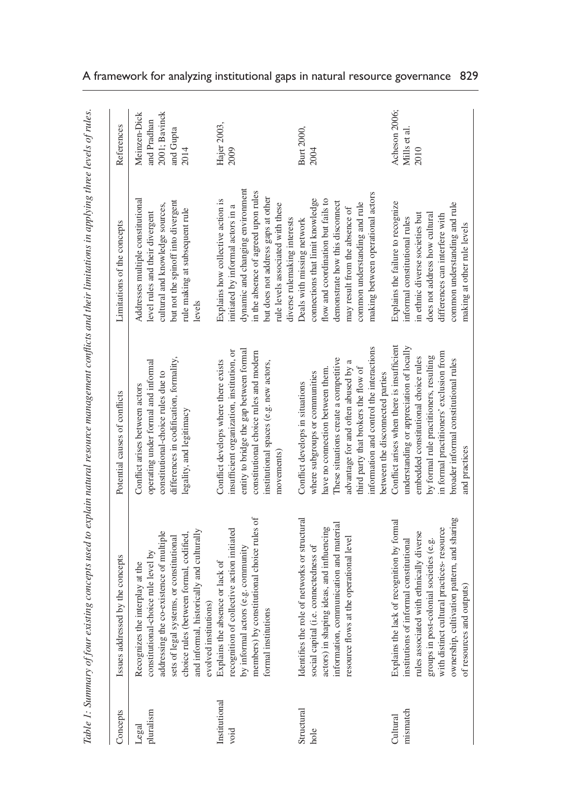| Concepts              | Issues addressed by the concepts                                                                                                                                                                                                                                                                      | Potential causes of conflicts                                                                                                                                                                                                                                                                                      | Limitations of the concepts                                                                                                                                                                                                                     | References                                   |
|-----------------------|-------------------------------------------------------------------------------------------------------------------------------------------------------------------------------------------------------------------------------------------------------------------------------------------------------|--------------------------------------------------------------------------------------------------------------------------------------------------------------------------------------------------------------------------------------------------------------------------------------------------------------------|-------------------------------------------------------------------------------------------------------------------------------------------------------------------------------------------------------------------------------------------------|----------------------------------------------|
| pluralism<br>Legal    | addressing the co-existence of multiple<br>constitutional-choice rule level by<br>Recognizes the interplay at the                                                                                                                                                                                     | operating under formal and informal<br>constitutional-choice rules due to<br>Conflict arises between actors                                                                                                                                                                                                        | Addresses multiple constitutional<br>cultural and knowledge sources,<br>level rules and their divergent                                                                                                                                         | Meinzen-Dick<br>2001; Bavinck<br>and Pradhan |
|                       | and informal, historically and culturally<br>choice rules (between formal, codified,<br>stems, or constitutional<br>evolved institutions)<br>sets of legal sy                                                                                                                                         | differences in codification, formality,<br>legality, and legitimacy                                                                                                                                                                                                                                                | but not the spinoff into divergent<br>rule making at subsequent rule<br>levels                                                                                                                                                                  | and Gupta<br>2014                            |
| Institutional<br>void | recognition of collective action initiated<br>by informal actors (e.g. community<br>Explains the absence or lack of                                                                                                                                                                                   | entity to bridge the gap between formal<br>insufficient organization, institution, or<br>Conflict develops where there exists                                                                                                                                                                                      | dynamic and changing environment<br>Explains how collective action is<br>initiated by informal actors in a                                                                                                                                      | Hajer 2003,<br>2009                          |
|                       | members) by constitutional choice rules of<br>formal institutions                                                                                                                                                                                                                                     | constitutional choice rules and modern<br>institutional spaces (e.g. new actors,<br>movements)                                                                                                                                                                                                                     | in the absence of agreed upon rules<br>but does not address gaps at other<br>rule levels associated with these<br>diverse rulemaking interests                                                                                                  |                                              |
| Structural<br>hole    | Identifies the role of networks or structural<br>information, communication and material<br>actors) in shaping ideas, and influencing<br>at the operational level<br>social capital (i.e. connectedness of<br>resource flows                                                                          | nformation and control the interactions<br>These situations create a competitive<br>advantage for and often abused by a<br>third party that brokers the flow of<br>have no connection between them.<br>where subgroups or communities<br>Conflict develops in situations                                           | making between operational actors<br>connections that limit knowledge<br>flow and coordination but fails to<br>demonstrate how this disconnect<br>common understanding and rule<br>may result from the absence of<br>Deals with missing network | Burt 2000,<br>2004                           |
| mismatch<br>Cultural  | ownership, cultivation pattern, and sharing<br>Explains the lack of recognition by formal<br>with distinct cultural practices-resource<br>rules associated with ethnically diverse<br>institutions of informal constitutional<br>groups in post-colonial societies (e.g.<br>of resources and outputs) | Conflict arises when there is insufficient<br>understanding or appreciation of locally<br>in formal practitioners' exclusion from<br>by formal rule practitioners, resulting<br>embedded constitutional choice rules<br>broader informal constitutional rules<br>between the disconnected parties<br>and practices | Explains the failure to recognize<br>common understanding and rule<br>in ethnic diverse societies but<br>does not address how cultural<br>differences can interfere with<br>informal constitutional rules<br>making at other rule levels        | Acheson 2006;<br>Mills et al.<br>2010        |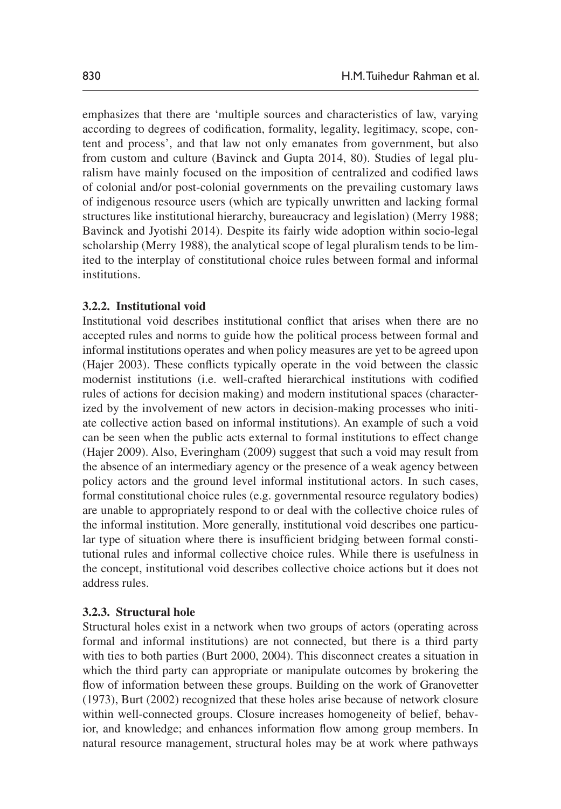emphasizes that there are 'multiple sources and characteristics of law, varying according to degrees of codification, formality, legality, legitimacy, scope, content and process', and that law not only emanates from government, but also from custom and culture (Bavinck and Gupta 2014, 80). Studies of legal pluralism have mainly focused on the imposition of centralized and codified laws of colonial and/or post-colonial governments on the prevailing customary laws of indigenous resource users (which are typically unwritten and lacking formal structures like institutional hierarchy, bureaucracy and legislation) (Merry 1988; Bavinck and Jyotishi 2014). Despite its fairly wide adoption within socio-legal scholarship (Merry 1988), the analytical scope of legal pluralism tends to be limited to the interplay of constitutional choice rules between formal and informal institutions.

#### **3.2.2. Institutional void**

Institutional void describes institutional conflict that arises when there are no accepted rules and norms to guide how the political process between formal and informal institutions operates and when policy measures are yet to be agreed upon (Hajer 2003). These conflicts typically operate in the void between the classic modernist institutions (i.e. well-crafted hierarchical institutions with codified rules of actions for decision making) and modern institutional spaces (characterized by the involvement of new actors in decision-making processes who initiate collective action based on informal institutions). An example of such a void can be seen when the public acts external to formal institutions to effect change (Hajer 2009). Also, Everingham (2009) suggest that such a void may result from the absence of an intermediary agency or the presence of a weak agency between policy actors and the ground level informal institutional actors. In such cases, formal constitutional choice rules (e.g. governmental resource regulatory bodies) are unable to appropriately respond to or deal with the collective choice rules of the informal institution. More generally, institutional void describes one particular type of situation where there is insufficient bridging between formal constitutional rules and informal collective choice rules. While there is usefulness in the concept, institutional void describes collective choice actions but it does not address rules.

### **3.2.3. Structural hole**

Structural holes exist in a network when two groups of actors (operating across formal and informal institutions) are not connected, but there is a third party with ties to both parties (Burt 2000, 2004). This disconnect creates a situation in which the third party can appropriate or manipulate outcomes by brokering the flow of information between these groups. Building on the work of Granovetter (1973), Burt (2002) recognized that these holes arise because of network closure within well-connected groups. Closure increases homogeneity of belief, behavior, and knowledge; and enhances information flow among group members. In natural resource management, structural holes may be at work where pathways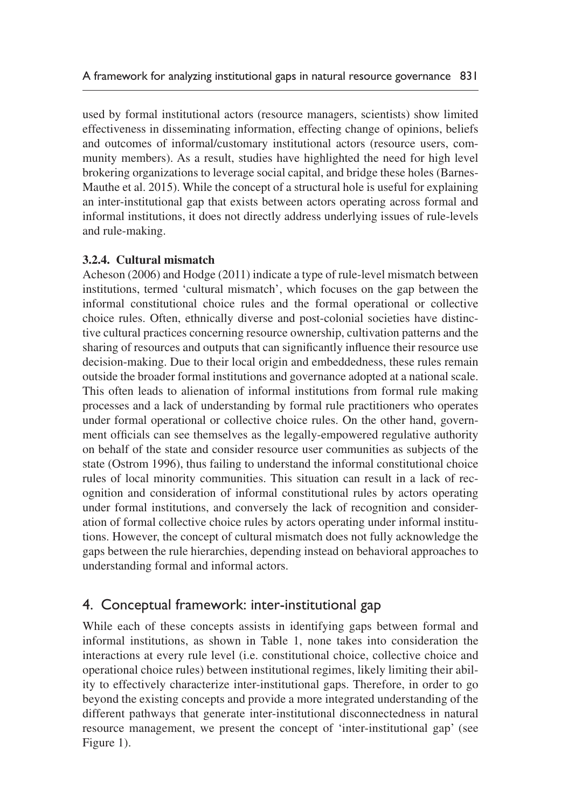used by formal institutional actors (resource managers, scientists) show limited effectiveness in disseminating information, effecting change of opinions, beliefs and outcomes of informal/customary institutional actors (resource users, community members). As a result, studies have highlighted the need for high level brokering organizations to leverage social capital, and bridge these holes (Barnes-Mauthe et al. 2015). While the concept of a structural hole is useful for explaining an inter-institutional gap that exists between actors operating across formal and informal institutions, it does not directly address underlying issues of rule-levels and rule-making.

## **3.2.4. Cultural mismatch**

Acheson (2006) and Hodge (2011) indicate a type of rule-level mismatch between institutions, termed 'cultural mismatch', which focuses on the gap between the informal constitutional choice rules and the formal operational or collective choice rules. Often, ethnically diverse and post-colonial societies have distinctive cultural practices concerning resource ownership, cultivation patterns and the sharing of resources and outputs that can significantly influence their resource use decision-making. Due to their local origin and embeddedness, these rules remain outside the broader formal institutions and governance adopted at a national scale. This often leads to alienation of informal institutions from formal rule making processes and a lack of understanding by formal rule practitioners who operates under formal operational or collective choice rules. On the other hand, government officials can see themselves as the legally-empowered regulative authority on behalf of the state and consider resource user communities as subjects of the state (Ostrom 1996), thus failing to understand the informal constitutional choice rules of local minority communities. This situation can result in a lack of recognition and consideration of informal constitutional rules by actors operating under formal institutions, and conversely the lack of recognition and consideration of formal collective choice rules by actors operating under informal institutions. However, the concept of cultural mismatch does not fully acknowledge the gaps between the rule hierarchies, depending instead on behavioral approaches to understanding formal and informal actors.

# 4. Conceptual framework: inter-institutional gap

While each of these concepts assists in identifying gaps between formal and informal institutions, as shown in Table 1, none takes into consideration the interactions at every rule level (i.e. constitutional choice, collective choice and operational choice rules) between institutional regimes, likely limiting their ability to effectively characterize inter-institutional gaps. Therefore, in order to go beyond the existing concepts and provide a more integrated understanding of the different pathways that generate inter-institutional disconnectedness in natural resource management, we present the concept of 'inter-institutional gap' (see Figure 1).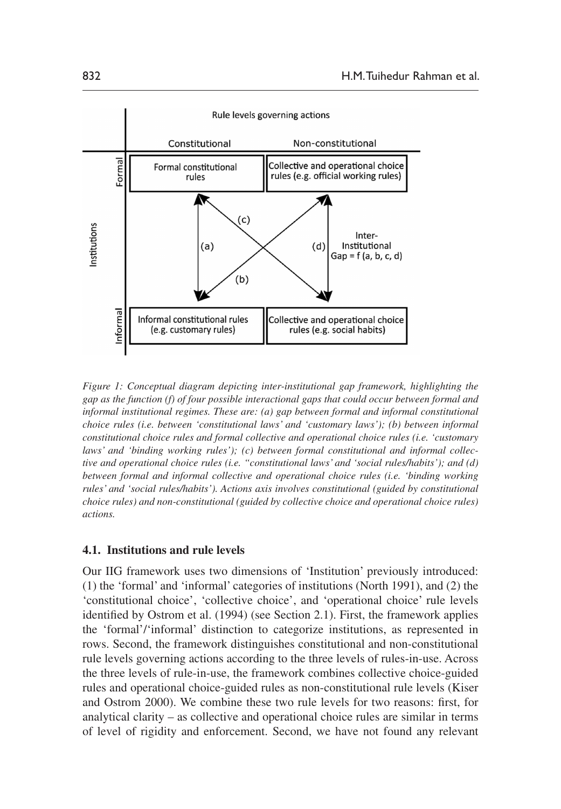

*Figure 1: Conceptual diagram depicting inter-institutional gap framework, highlighting the gap as the function (f) of four possible interactional gaps that could occur between formal and informal institutional regimes. These are: (a) gap between formal and informal constitutional choice rules (i.e. between 'constitutional laws' and 'customary laws'); (b) between informal constitutional choice rules and formal collective and operational choice rules (i.e. 'customary laws' and 'binding working rules'); (c) between formal constitutional and informal collective and operational choice rules (i.e. "constitutional laws' and 'social rules/habits'); and (d) between formal and informal collective and operational choice rules (i.e. 'binding working rules' and 'social rules/habits'). Actions axis involves constitutional (guided by constitutional choice rules) and non-constitutional (guided by collective choice and operational choice rules) actions.*

### **4.1. Institutions and rule levels**

Our IIG framework uses two dimensions of 'Institution' previously introduced: (1) the 'formal' and 'informal' categories of institutions (North 1991), and (2) the 'constitutional choice', 'collective choice', and 'operational choice' rule levels identified by Ostrom et al. (1994) (see Section 2.1). First, the framework applies the 'formal'/'informal' distinction to categorize institutions, as represented in rows. Second, the framework distinguishes constitutional and non-constitutional rule levels governing actions according to the three levels of rules-in-use. Across the three levels of rule-in-use, the framework combines collective choice-guided rules and operational choice-guided rules as non-constitutional rule levels (Kiser and Ostrom 2000). We combine these two rule levels for two reasons: first, for analytical clarity – as collective and operational choice rules are similar in terms of level of rigidity and enforcement. Second, we have not found any relevant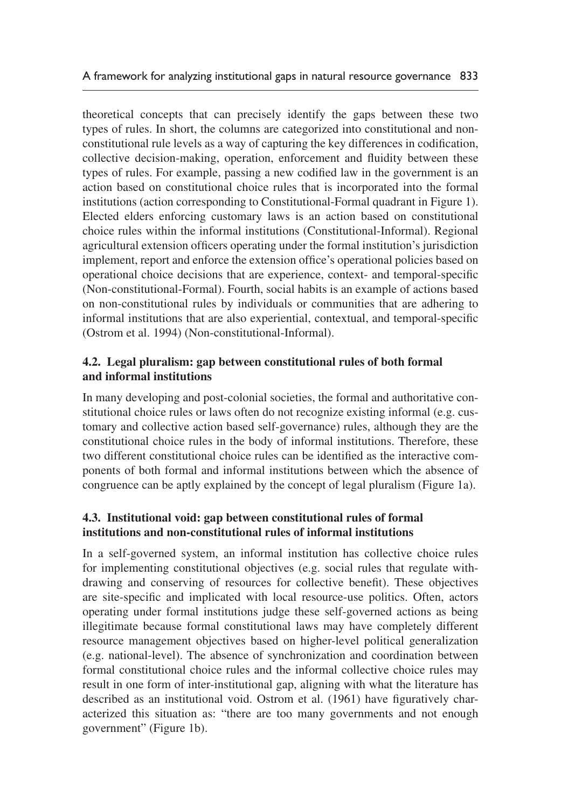theoretical concepts that can precisely identify the gaps between these two types of rules. In short, the columns are categorized into constitutional and nonconstitutional rule levels as a way of capturing the key differences in codification, collective decision-making, operation, enforcement and fluidity between these types of rules. For example, passing a new codified law in the government is an action based on constitutional choice rules that is incorporated into the formal institutions (action corresponding to Constitutional-Formal quadrant in Figure 1). Elected elders enforcing customary laws is an action based on constitutional choice rules within the informal institutions (Constitutional-Informal). Regional agricultural extension officers operating under the formal institution's jurisdiction implement, report and enforce the extension office's operational policies based on operational choice decisions that are experience, context- and temporal-specific (Non-constitutional-Formal). Fourth, social habits is an example of actions based on non-constitutional rules by individuals or communities that are adhering to informal institutions that are also experiential, contextual, and temporal-specific (Ostrom et al. 1994) (Non-constitutional-Informal).

# **4.2. Legal pluralism: gap between constitutional rules of both formal and informal institutions**

In many developing and post-colonial societies, the formal and authoritative constitutional choice rules or laws often do not recognize existing informal (e.g. customary and collective action based self-governance) rules, although they are the constitutional choice rules in the body of informal institutions. Therefore, these two different constitutional choice rules can be identified as the interactive components of both formal and informal institutions between which the absence of congruence can be aptly explained by the concept of legal pluralism (Figure 1a).

# **4.3. Institutional void: gap between constitutional rules of formal institutions and non-constitutional rules of informal institutions**

In a self-governed system, an informal institution has collective choice rules for implementing constitutional objectives (e.g. social rules that regulate withdrawing and conserving of resources for collective benefit). These objectives are site-specific and implicated with local resource-use politics. Often, actors operating under formal institutions judge these self-governed actions as being illegitimate because formal constitutional laws may have completely different resource management objectives based on higher-level political generalization (e.g. national-level). The absence of synchronization and coordination between formal constitutional choice rules and the informal collective choice rules may result in one form of inter-institutional gap, aligning with what the literature has described as an institutional void. Ostrom et al. (1961) have figuratively characterized this situation as: "there are too many governments and not enough government" (Figure 1b).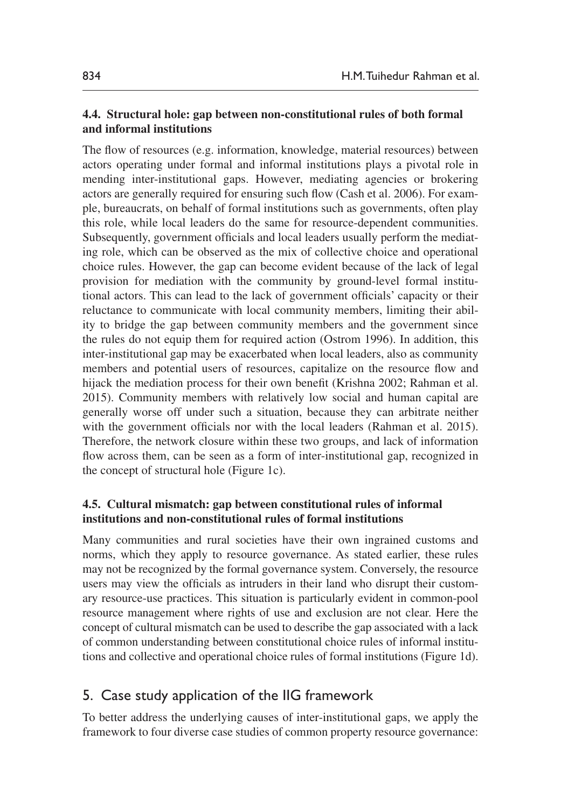### **4.4. Structural hole: gap between non-constitutional rules of both formal and informal institutions**

The flow of resources (e.g. information, knowledge, material resources) between actors operating under formal and informal institutions plays a pivotal role in mending inter-institutional gaps. However, mediating agencies or brokering actors are generally required for ensuring such flow (Cash et al. 2006). For example, bureaucrats, on behalf of formal institutions such as governments, often play this role, while local leaders do the same for resource-dependent communities. Subsequently, government officials and local leaders usually perform the mediating role, which can be observed as the mix of collective choice and operational choice rules. However, the gap can become evident because of the lack of legal provision for mediation with the community by ground-level formal institutional actors. This can lead to the lack of government officials' capacity or their reluctance to communicate with local community members, limiting their ability to bridge the gap between community members and the government since the rules do not equip them for required action (Ostrom 1996). In addition, this inter-institutional gap may be exacerbated when local leaders, also as community members and potential users of resources, capitalize on the resource flow and hijack the mediation process for their own benefit (Krishna 2002; Rahman et al. 2015). Community members with relatively low social and human capital are generally worse off under such a situation, because they can arbitrate neither with the government officials nor with the local leaders (Rahman et al. 2015). Therefore, the network closure within these two groups, and lack of information flow across them, can be seen as a form of inter-institutional gap, recognized in the concept of structural hole (Figure 1c).

## **4.5. Cultural mismatch: gap between constitutional rules of informal institutions and non-constitutional rules of formal institutions**

Many communities and rural societies have their own ingrained customs and norms, which they apply to resource governance. As stated earlier, these rules may not be recognized by the formal governance system. Conversely, the resource users may view the officials as intruders in their land who disrupt their customary resource-use practices. This situation is particularly evident in common-pool resource management where rights of use and exclusion are not clear. Here the concept of cultural mismatch can be used to describe the gap associated with a lack of common understanding between constitutional choice rules of informal institutions and collective and operational choice rules of formal institutions (Figure 1d).

# 5. Case study application of the IIG framework

To better address the underlying causes of inter-institutional gaps, we apply the framework to four diverse case studies of common property resource governance: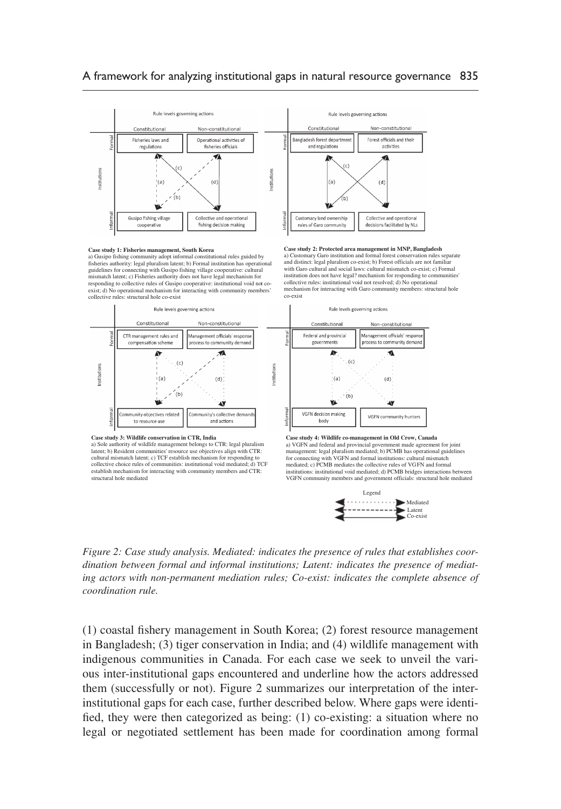#### A framework for analyzing institutional gaps in natural resource governance 835





a) Gusipo fishing community adopt informal constitutional rules guided by fisheries authority: legal pluralism latent; b) Formal institution has operation guidelines for connecting with Gusipo fishing village cooperative: cultural<br>mismatch latent; c) Fisheries authority does not have legal mechanism for<br>responding to collective rules of Gusipo cooperative: institutional void exist; d) No operational mechanism for interacting with community members' collective rules: structural hole co-exist



a) Sole authority of wildlife management belongs to CTR: legal pluralism latent; b) Resident communities' resource use objectives align with CTR: cultural mismatch latent; c) TCF establish mechanism for responding to collective choice rules of communities: institutional void mediated; d) TCF establish mechanism for interacting with community members and CTR: structural hole mediated



**Case study 2: Protected area management in MNP, Bangladesh**

 $\sim$ 

 $(c)$ 

a) Customary Garo institution and formal forest conservation rules separate and distinct: legal pluralism co-exist; b) Forest officials are not familiar with Garo cultural and social laws: cultural mismatch co-exist; c) Formal institution does not have legal? mechanism for responding to communities' collective rules: institutional void not resolved; d) No operational mechanism for interacting with Garo community members: structural hole co-exist

Non-constitutional

Management officials' response

process to community demand

 $\blacktriangle$ 



management: legal pluralism mediated; b) PCMB has operational guidelines for connecting with VGFN and formal institutions: cultural mismatch mediated; c) PCMB mediates the collective rules of VGFN and formal institutions: institutional void mediated; d) PCMB bridges interactions between VGFN community members and government officials: structural hole mediated



*Figure 2: Case study analysis. Mediated: indicates the presence of rules that establishes coordination between formal and informal institutions; Latent: indicates the presence of mediating actors with non-permanent mediation rules; Co-exist: indicates the complete absence of coordination rule.*

(1) coastal fishery management in South Korea; (2) forest resource management in Bangladesh; (3) tiger conservation in India; and (4) wildlife management with indigenous communities in Canada. For each case we seek to unveil the various inter-institutional gaps encountered and underline how the actors addressed them (successfully or not). Figure 2 summarizes our interpretation of the interinstitutional gaps for each case, further described below. Where gaps were identified, they were then categorized as being: (1) co-existing: a situation where no legal or negotiated settlement has been made for coordination among formal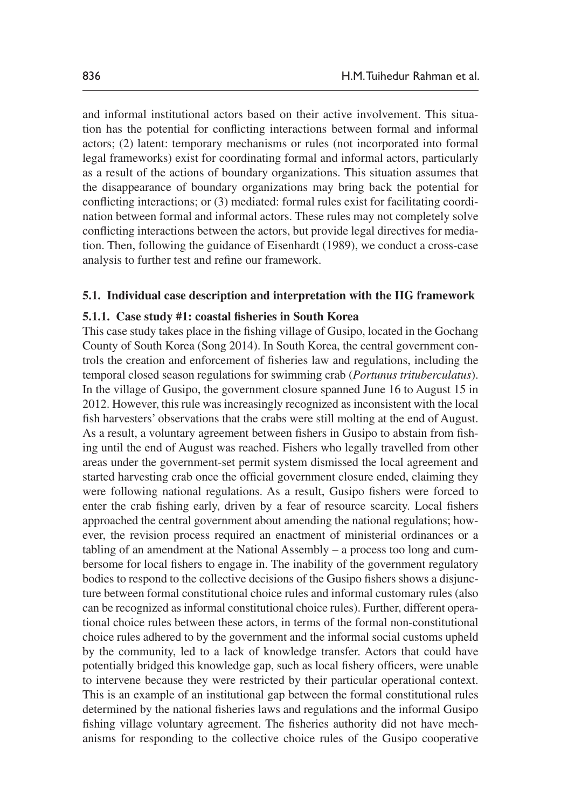and informal institutional actors based on their active involvement. This situation has the potential for conflicting interactions between formal and informal actors; (2) latent: temporary mechanisms or rules (not incorporated into formal legal frameworks) exist for coordinating formal and informal actors, particularly as a result of the actions of boundary organizations. This situation assumes that the disappearance of boundary organizations may bring back the potential for conflicting interactions; or (3) mediated: formal rules exist for facilitating coordination between formal and informal actors. These rules may not completely solve conflicting interactions between the actors, but provide legal directives for mediation. Then, following the guidance of Eisenhardt (1989), we conduct a cross-case analysis to further test and refine our framework.

### **5.1. Individual case description and interpretation with the IIG framework**

### **5.1.1. Case study #1: coastal fisheries in South Korea**

This case study takes place in the fishing village of Gusipo, located in the Gochang County of South Korea (Song 2014). In South Korea, the central government controls the creation and enforcement of fisheries law and regulations, including the temporal closed season regulations for swimming crab (*Portunus trituberculatus*). In the village of Gusipo, the government closure spanned June 16 to August 15 in 2012. However, this rule was increasingly recognized as inconsistent with the local fish harvesters' observations that the crabs were still molting at the end of August. As a result, a voluntary agreement between fishers in Gusipo to abstain from fishing until the end of August was reached. Fishers who legally travelled from other areas under the government-set permit system dismissed the local agreement and started harvesting crab once the official government closure ended, claiming they were following national regulations. As a result, Gusipo fishers were forced to enter the crab fishing early, driven by a fear of resource scarcity. Local fishers approached the central government about amending the national regulations; however, the revision process required an enactment of ministerial ordinances or a tabling of an amendment at the National Assembly – a process too long and cumbersome for local fishers to engage in. The inability of the government regulatory bodies to respond to the collective decisions of the Gusipo fishers shows a disjuncture between formal constitutional choice rules and informal customary rules (also can be recognized as informal constitutional choice rules). Further, different operational choice rules between these actors, in terms of the formal non-constitutional choice rules adhered to by the government and the informal social customs upheld by the community, led to a lack of knowledge transfer. Actors that could have potentially bridged this knowledge gap, such as local fishery officers, were unable to intervene because they were restricted by their particular operational context. This is an example of an institutional gap between the formal constitutional rules determined by the national fisheries laws and regulations and the informal Gusipo fishing village voluntary agreement. The fisheries authority did not have mechanisms for responding to the collective choice rules of the Gusipo cooperative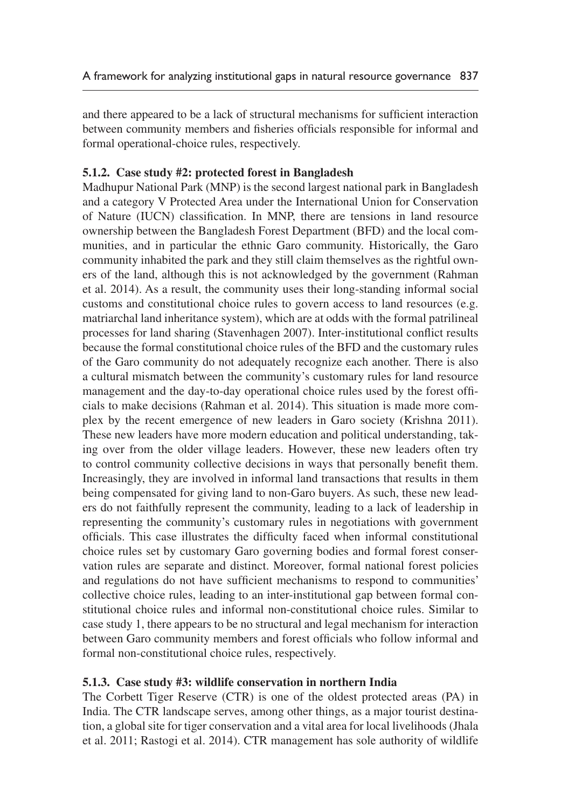and there appeared to be a lack of structural mechanisms for sufficient interaction between community members and fisheries officials responsible for informal and formal operational-choice rules, respectively.

## **5.1.2. Case study #2: protected forest in Bangladesh**

Madhupur National Park (MNP) is the second largest national park in Bangladesh and a category V Protected Area under the International Union for Conservation of Nature (IUCN) classification. In MNP, there are tensions in land resource ownership between the Bangladesh Forest Department (BFD) and the local communities, and in particular the ethnic Garo community. Historically, the Garo community inhabited the park and they still claim themselves as the rightful owners of the land, although this is not acknowledged by the government (Rahman et al. 2014). As a result, the community uses their long-standing informal social customs and constitutional choice rules to govern access to land resources (e.g. matriarchal land inheritance system), which are at odds with the formal patrilineal processes for land sharing (Stavenhagen 2007). Inter-institutional conflict results because the formal constitutional choice rules of the BFD and the customary rules of the Garo community do not adequately recognize each another. There is also a cultural mismatch between the community's customary rules for land resource management and the day-to-day operational choice rules used by the forest officials to make decisions (Rahman et al. 2014). This situation is made more complex by the recent emergence of new leaders in Garo society (Krishna 2011). These new leaders have more modern education and political understanding, taking over from the older village leaders. However, these new leaders often try to control community collective decisions in ways that personally benefit them. Increasingly, they are involved in informal land transactions that results in them being compensated for giving land to non-Garo buyers. As such, these new leaders do not faithfully represent the community, leading to a lack of leadership in representing the community's customary rules in negotiations with government officials. This case illustrates the difficulty faced when informal constitutional choice rules set by customary Garo governing bodies and formal forest conservation rules are separate and distinct. Moreover, formal national forest policies and regulations do not have sufficient mechanisms to respond to communities' collective choice rules, leading to an inter-institutional gap between formal constitutional choice rules and informal non-constitutional choice rules. Similar to case study 1, there appears to be no structural and legal mechanism for interaction between Garo community members and forest officials who follow informal and formal non-constitutional choice rules, respectively.

### **5.1.3. Case study #3: wildlife conservation in northern India**

The Corbett Tiger Reserve (CTR) is one of the oldest protected areas (PA) in India. The CTR landscape serves, among other things, as a major tourist destination, a global site for tiger conservation and a vital area for local livelihoods (Jhala et al. 2011; Rastogi et al. 2014). CTR management has sole authority of wildlife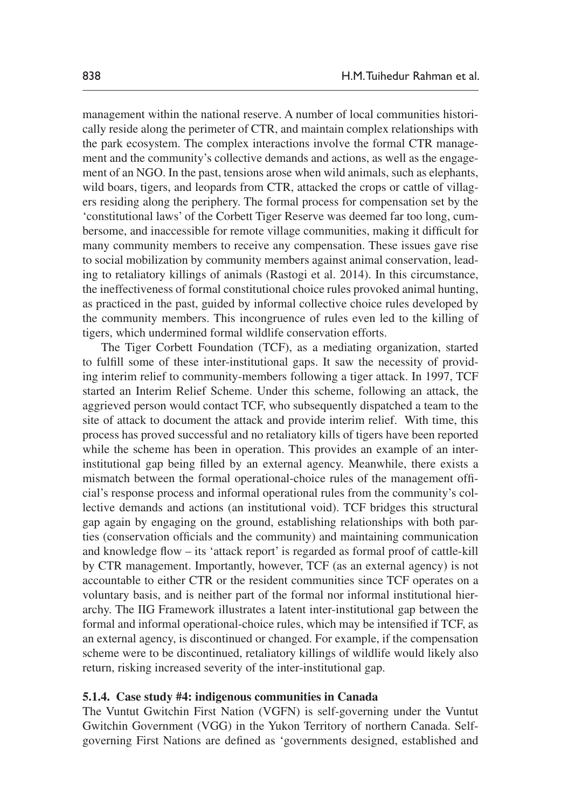management within the national reserve. A number of local communities historically reside along the perimeter of CTR, and maintain complex relationships with the park ecosystem. The complex interactions involve the formal CTR management and the community's collective demands and actions, as well as the engagement of an NGO. In the past, tensions arose when wild animals, such as elephants, wild boars, tigers, and leopards from CTR, attacked the crops or cattle of villagers residing along the periphery. The formal process for compensation set by the 'constitutional laws' of the Corbett Tiger Reserve was deemed far too long, cumbersome, and inaccessible for remote village communities, making it difficult for many community members to receive any compensation. These issues gave rise to social mobilization by community members against animal conservation, leading to retaliatory killings of animals (Rastogi et al. 2014). In this circumstance, the ineffectiveness of formal constitutional choice rules provoked animal hunting, as practiced in the past, guided by informal collective choice rules developed by the community members. This incongruence of rules even led to the killing of tigers, which undermined formal wildlife conservation efforts.

The Tiger Corbett Foundation (TCF), as a mediating organization, started to fulfill some of these inter-institutional gaps. It saw the necessity of providing interim relief to community-members following a tiger attack. In 1997, TCF started an Interim Relief Scheme. Under this scheme, following an attack, the aggrieved person would contact TCF, who subsequently dispatched a team to the site of attack to document the attack and provide interim relief. With time, this process has proved successful and no retaliatory kills of tigers have been reported while the scheme has been in operation. This provides an example of an interinstitutional gap being filled by an external agency. Meanwhile, there exists a mismatch between the formal operational-choice rules of the management official's response process and informal operational rules from the community's collective demands and actions (an institutional void). TCF bridges this structural gap again by engaging on the ground, establishing relationships with both parties (conservation officials and the community) and maintaining communication and knowledge flow – its 'attack report' is regarded as formal proof of cattle-kill by CTR management. Importantly, however, TCF (as an external agency) is not accountable to either CTR or the resident communities since TCF operates on a voluntary basis, and is neither part of the formal nor informal institutional hierarchy. The IIG Framework illustrates a latent inter-institutional gap between the formal and informal operational-choice rules, which may be intensified if TCF, as an external agency, is discontinued or changed. For example, if the compensation scheme were to be discontinued, retaliatory killings of wildlife would likely also return, risking increased severity of the inter-institutional gap.

### **5.1.4. Case study #4: indigenous communities in Canada**

The Vuntut Gwitchin First Nation (VGFN) is self-governing under the Vuntut Gwitchin Government (VGG) in the Yukon Territory of northern Canada. Selfgoverning First Nations are defined as 'governments designed, established and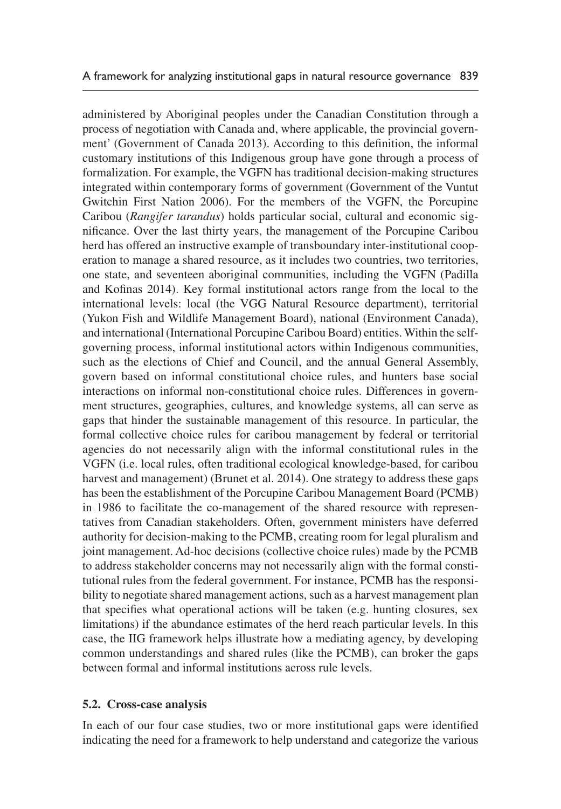administered by Aboriginal peoples under the Canadian Constitution through a process of negotiation with Canada and, where applicable, the provincial government' (Government of Canada 2013). According to this definition, the informal customary institutions of this Indigenous group have gone through a process of formalization. For example, the VGFN has traditional decision-making structures integrated within contemporary forms of government (Government of the Vuntut Gwitchin First Nation 2006). For the members of the VGFN, the Porcupine Caribou (*Rangifer tarandus*) holds particular social, cultural and economic significance. Over the last thirty years, the management of the Porcupine Caribou herd has offered an instructive example of transboundary inter-institutional cooperation to manage a shared resource, as it includes two countries, two territories, one state, and seventeen aboriginal communities, including the VGFN (Padilla and Kofinas 2014). Key formal institutional actors range from the local to the international levels: local (the VGG Natural Resource department), territorial (Yukon Fish and Wildlife Management Board), national (Environment Canada), and international (International Porcupine Caribou Board) entities. Within the selfgoverning process, informal institutional actors within Indigenous communities, such as the elections of Chief and Council, and the annual General Assembly, govern based on informal constitutional choice rules, and hunters base social interactions on informal non-constitutional choice rules. Differences in government structures, geographies, cultures, and knowledge systems, all can serve as gaps that hinder the sustainable management of this resource. In particular, the formal collective choice rules for caribou management by federal or territorial agencies do not necessarily align with the informal constitutional rules in the VGFN (i.e. local rules, often traditional ecological knowledge-based, for caribou harvest and management) (Brunet et al. 2014). One strategy to address these gaps has been the establishment of the Porcupine Caribou Management Board (PCMB) in 1986 to facilitate the co-management of the shared resource with representatives from Canadian stakeholders. Often, government ministers have deferred authority for decision-making to the PCMB, creating room for legal pluralism and joint management. Ad-hoc decisions (collective choice rules) made by the PCMB to address stakeholder concerns may not necessarily align with the formal constitutional rules from the federal government. For instance, PCMB has the responsibility to negotiate shared management actions, such as a harvest management plan that specifies what operational actions will be taken (e.g. hunting closures, sex limitations) if the abundance estimates of the herd reach particular levels. In this case, the IIG framework helps illustrate how a mediating agency, by developing common understandings and shared rules (like the PCMB), can broker the gaps between formal and informal institutions across rule levels.

### **5.2. Cross-case analysis**

In each of our four case studies, two or more institutional gaps were identified indicating the need for a framework to help understand and categorize the various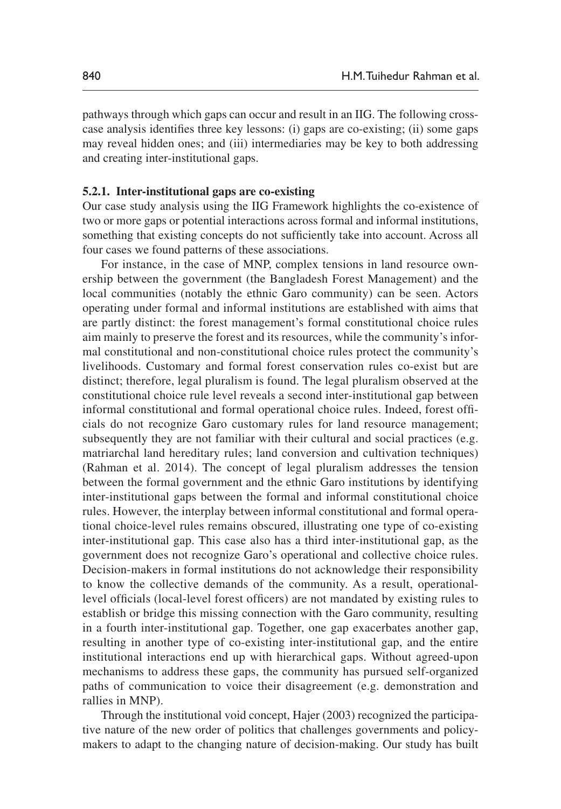pathways through which gaps can occur and result in an IIG. The following crosscase analysis identifies three key lessons: (i) gaps are co-existing; (ii) some gaps may reveal hidden ones; and (iii) intermediaries may be key to both addressing and creating inter-institutional gaps.

### **5.2.1. Inter-institutional gaps are co-existing**

Our case study analysis using the IIG Framework highlights the co-existence of two or more gaps or potential interactions across formal and informal institutions, something that existing concepts do not sufficiently take into account. Across all four cases we found patterns of these associations.

For instance, in the case of MNP, complex tensions in land resource ownership between the government (the Bangladesh Forest Management) and the local communities (notably the ethnic Garo community) can be seen. Actors operating under formal and informal institutions are established with aims that are partly distinct: the forest management's formal constitutional choice rules aim mainly to preserve the forest and its resources, while the community's informal constitutional and non-constitutional choice rules protect the community's livelihoods. Customary and formal forest conservation rules co-exist but are distinct; therefore, legal pluralism is found. The legal pluralism observed at the constitutional choice rule level reveals a second inter-institutional gap between informal constitutional and formal operational choice rules. Indeed, forest officials do not recognize Garo customary rules for land resource management; subsequently they are not familiar with their cultural and social practices (e.g. matriarchal land hereditary rules; land conversion and cultivation techniques) (Rahman et al. 2014). The concept of legal pluralism addresses the tension between the formal government and the ethnic Garo institutions by identifying inter-institutional gaps between the formal and informal constitutional choice rules. However, the interplay between informal constitutional and formal operational choice-level rules remains obscured, illustrating one type of co-existing inter-institutional gap. This case also has a third inter-institutional gap, as the government does not recognize Garo's operational and collective choice rules. Decision-makers in formal institutions do not acknowledge their responsibility to know the collective demands of the community. As a result, operationallevel officials (local-level forest officers) are not mandated by existing rules to establish or bridge this missing connection with the Garo community, resulting in a fourth inter-institutional gap. Together, one gap exacerbates another gap, resulting in another type of co-existing inter-institutional gap, and the entire institutional interactions end up with hierarchical gaps. Without agreed-upon mechanisms to address these gaps, the community has pursued self-organized paths of communication to voice their disagreement (e.g. demonstration and rallies in MNP).

Through the institutional void concept, Hajer (2003) recognized the participative nature of the new order of politics that challenges governments and policymakers to adapt to the changing nature of decision-making. Our study has built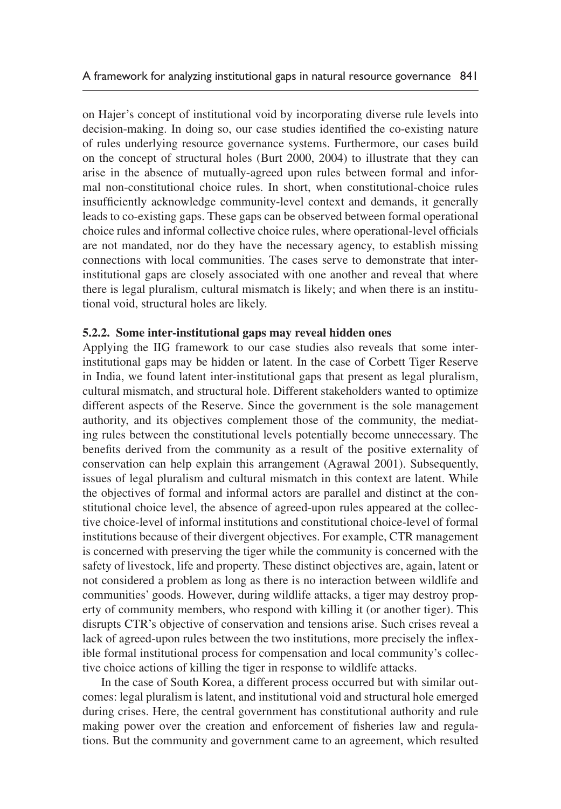on Hajer's concept of institutional void by incorporating diverse rule levels into decision-making. In doing so, our case studies identified the co-existing nature of rules underlying resource governance systems. Furthermore, our cases build on the concept of structural holes (Burt 2000, 2004) to illustrate that they can arise in the absence of mutually-agreed upon rules between formal and informal non-constitutional choice rules. In short, when constitutional-choice rules insufficiently acknowledge community-level context and demands, it generally leads to co-existing gaps. These gaps can be observed between formal operational choice rules and informal collective choice rules, where operational-level officials are not mandated, nor do they have the necessary agency, to establish missing connections with local communities. The cases serve to demonstrate that interinstitutional gaps are closely associated with one another and reveal that where there is legal pluralism, cultural mismatch is likely; and when there is an institutional void, structural holes are likely.

### **5.2.2. Some inter-institutional gaps may reveal hidden ones**

Applying the IIG framework to our case studies also reveals that some interinstitutional gaps may be hidden or latent. In the case of Corbett Tiger Reserve in India, we found latent inter-institutional gaps that present as legal pluralism, cultural mismatch, and structural hole. Different stakeholders wanted to optimize different aspects of the Reserve. Since the government is the sole management authority, and its objectives complement those of the community, the mediating rules between the constitutional levels potentially become unnecessary. The benefits derived from the community as a result of the positive externality of conservation can help explain this arrangement (Agrawal 2001). Subsequently, issues of legal pluralism and cultural mismatch in this context are latent. While the objectives of formal and informal actors are parallel and distinct at the constitutional choice level, the absence of agreed-upon rules appeared at the collective choice-level of informal institutions and constitutional choice-level of formal institutions because of their divergent objectives. For example, CTR management is concerned with preserving the tiger while the community is concerned with the safety of livestock, life and property. These distinct objectives are, again, latent or not considered a problem as long as there is no interaction between wildlife and communities' goods. However, during wildlife attacks, a tiger may destroy property of community members, who respond with killing it (or another tiger). This disrupts CTR's objective of conservation and tensions arise. Such crises reveal a lack of agreed-upon rules between the two institutions, more precisely the inflexible formal institutional process for compensation and local community's collective choice actions of killing the tiger in response to wildlife attacks.

In the case of South Korea, a different process occurred but with similar outcomes: legal pluralism is latent, and institutional void and structural hole emerged during crises. Here, the central government has constitutional authority and rule making power over the creation and enforcement of fisheries law and regulations. But the community and government came to an agreement, which resulted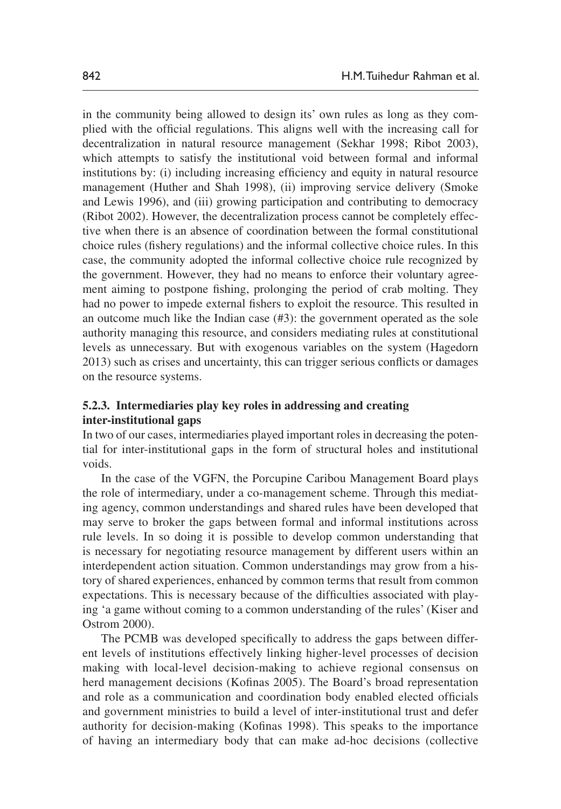in the community being allowed to design its' own rules as long as they complied with the official regulations. This aligns well with the increasing call for decentralization in natural resource management (Sekhar 1998; Ribot 2003), which attempts to satisfy the institutional void between formal and informal institutions by: (i) including increasing efficiency and equity in natural resource management (Huther and Shah 1998), (ii) improving service delivery (Smoke and Lewis 1996), and (iii) growing participation and contributing to democracy (Ribot 2002). However, the decentralization process cannot be completely effective when there is an absence of coordination between the formal constitutional choice rules (fishery regulations) and the informal collective choice rules. In this case, the community adopted the informal collective choice rule recognized by the government. However, they had no means to enforce their voluntary agreement aiming to postpone fishing, prolonging the period of crab molting. They had no power to impede external fishers to exploit the resource. This resulted in an outcome much like the Indian case (#3): the government operated as the sole authority managing this resource, and considers mediating rules at constitutional levels as unnecessary. But with exogenous variables on the system (Hagedorn 2013) such as crises and uncertainty, this can trigger serious conflicts or damages on the resource systems.

### **5.2.3. Intermediaries play key roles in addressing and creating inter-institutional gaps**

In two of our cases, intermediaries played important roles in decreasing the potential for inter-institutional gaps in the form of structural holes and institutional voids.

In the case of the VGFN, the Porcupine Caribou Management Board plays the role of intermediary, under a co-management scheme. Through this mediating agency, common understandings and shared rules have been developed that may serve to broker the gaps between formal and informal institutions across rule levels. In so doing it is possible to develop common understanding that is necessary for negotiating resource management by different users within an interdependent action situation. Common understandings may grow from a history of shared experiences, enhanced by common terms that result from common expectations. This is necessary because of the difficulties associated with playing 'a game without coming to a common understanding of the rules' (Kiser and Ostrom 2000).

The PCMB was developed specifically to address the gaps between different levels of institutions effectively linking higher-level processes of decision making with local-level decision-making to achieve regional consensus on herd management decisions (Kofinas 2005). The Board's broad representation and role as a communication and coordination body enabled elected officials and government ministries to build a level of inter-institutional trust and defer authority for decision-making (Kofinas 1998). This speaks to the importance of having an intermediary body that can make ad-hoc decisions (collective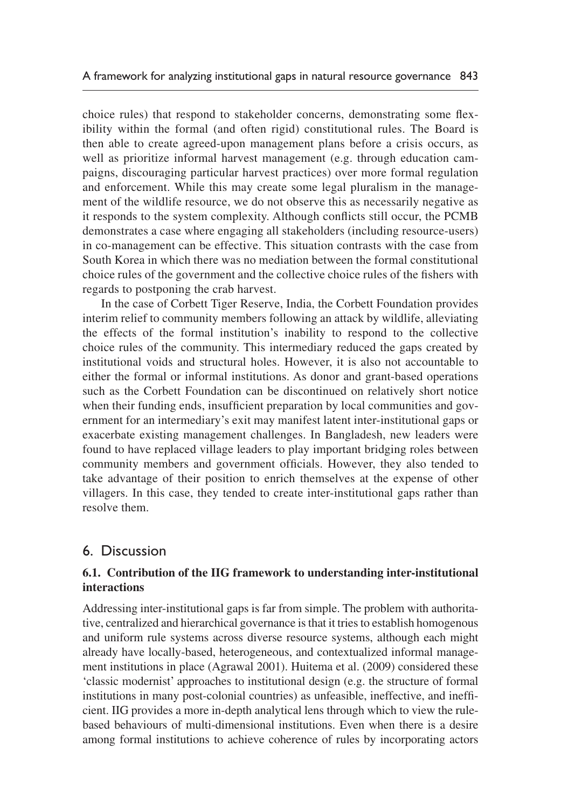choice rules) that respond to stakeholder concerns, demonstrating some flexibility within the formal (and often rigid) constitutional rules. The Board is then able to create agreed-upon management plans before a crisis occurs, as well as prioritize informal harvest management (e.g. through education campaigns, discouraging particular harvest practices) over more formal regulation and enforcement. While this may create some legal pluralism in the management of the wildlife resource, we do not observe this as necessarily negative as it responds to the system complexity. Although conflicts still occur, the PCMB demonstrates a case where engaging all stakeholders (including resource-users) in co-management can be effective. This situation contrasts with the case from South Korea in which there was no mediation between the formal constitutional choice rules of the government and the collective choice rules of the fishers with regards to postponing the crab harvest.

In the case of Corbett Tiger Reserve, India, the Corbett Foundation provides interim relief to community members following an attack by wildlife, alleviating the effects of the formal institution's inability to respond to the collective choice rules of the community. This intermediary reduced the gaps created by institutional voids and structural holes. However, it is also not accountable to either the formal or informal institutions. As donor and grant-based operations such as the Corbett Foundation can be discontinued on relatively short notice when their funding ends, insufficient preparation by local communities and government for an intermediary's exit may manifest latent inter-institutional gaps or exacerbate existing management challenges. In Bangladesh, new leaders were found to have replaced village leaders to play important bridging roles between community members and government officials. However, they also tended to take advantage of their position to enrich themselves at the expense of other villagers. In this case, they tended to create inter-institutional gaps rather than resolve them.

# 6. Discussion

### **6.1. Contribution of the IIG framework to understanding inter-institutional interactions**

Addressing inter-institutional gaps is far from simple. The problem with authoritative, centralized and hierarchical governance is that it tries to establish homogenous and uniform rule systems across diverse resource systems, although each might already have locally-based, heterogeneous, and contextualized informal management institutions in place (Agrawal 2001). Huitema et al. (2009) considered these 'classic modernist' approaches to institutional design (e.g. the structure of formal institutions in many post-colonial countries) as unfeasible, ineffective, and inefficient. IIG provides a more in-depth analytical lens through which to view the rulebased behaviours of multi-dimensional institutions. Even when there is a desire among formal institutions to achieve coherence of rules by incorporating actors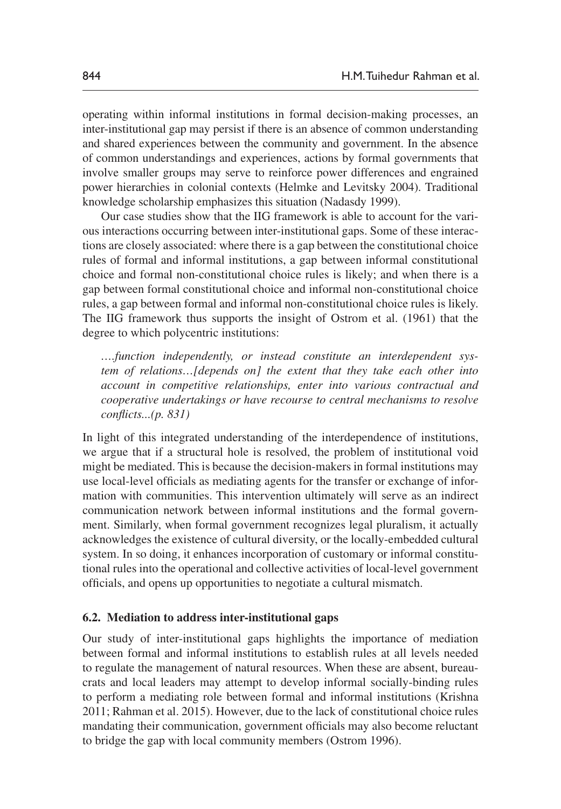operating within informal institutions in formal decision-making processes, an inter-institutional gap may persist if there is an absence of common understanding and shared experiences between the community and government. In the absence of common understandings and experiences, actions by formal governments that involve smaller groups may serve to reinforce power differences and engrained power hierarchies in colonial contexts (Helmke and Levitsky 2004). Traditional knowledge scholarship emphasizes this situation (Nadasdy 1999).

Our case studies show that the IIG framework is able to account for the various interactions occurring between inter-institutional gaps. Some of these interactions are closely associated: where there is a gap between the constitutional choice rules of formal and informal institutions, a gap between informal constitutional choice and formal non-constitutional choice rules is likely; and when there is a gap between formal constitutional choice and informal non-constitutional choice rules, a gap between formal and informal non-constitutional choice rules is likely. The IIG framework thus supports the insight of Ostrom et al. (1961) that the degree to which polycentric institutions:

*….function independently, or instead constitute an interdependent system of relations…[depends on] the extent that they take each other into account in competitive relationships, enter into various contractual and cooperative undertakings or have recourse to central mechanisms to resolve conflicts...(p. 831)*

In light of this integrated understanding of the interdependence of institutions, we argue that if a structural hole is resolved, the problem of institutional void might be mediated. This is because the decision-makers in formal institutions may use local-level officials as mediating agents for the transfer or exchange of information with communities. This intervention ultimately will serve as an indirect communication network between informal institutions and the formal government. Similarly, when formal government recognizes legal pluralism, it actually acknowledges the existence of cultural diversity, or the locally-embedded cultural system. In so doing, it enhances incorporation of customary or informal constitutional rules into the operational and collective activities of local-level government officials, and opens up opportunities to negotiate a cultural mismatch.

#### **6.2. Mediation to address inter-institutional gaps**

Our study of inter-institutional gaps highlights the importance of mediation between formal and informal institutions to establish rules at all levels needed to regulate the management of natural resources. When these are absent, bureaucrats and local leaders may attempt to develop informal socially-binding rules to perform a mediating role between formal and informal institutions (Krishna 2011; Rahman et al. 2015). However, due to the lack of constitutional choice rules mandating their communication, government officials may also become reluctant to bridge the gap with local community members (Ostrom 1996).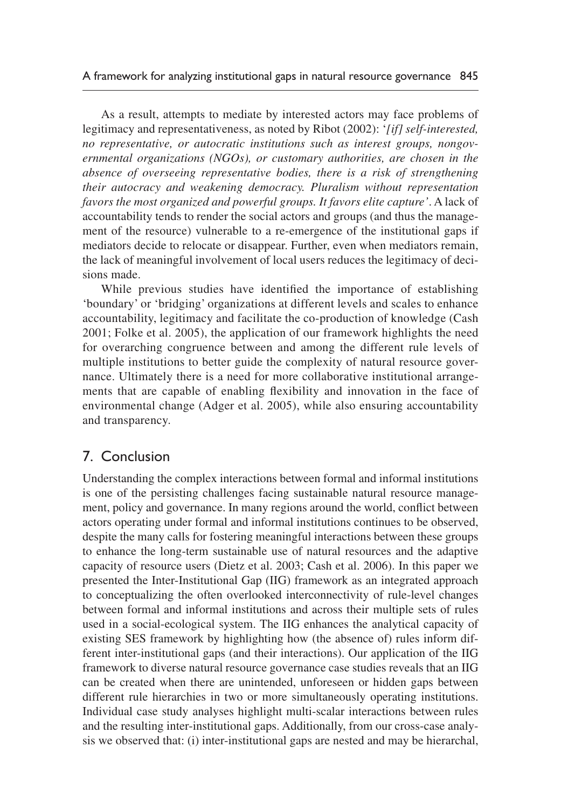As a result, attempts to mediate by interested actors may face problems of legitimacy and representativeness, as noted by Ribot (2002): '*[if] self-interested, no representative, or autocratic institutions such as interest groups, nongovernmental organizations (NGOs), or customary authorities, are chosen in the absence of overseeing representative bodies, there is a risk of strengthening their autocracy and weakening democracy. Pluralism without representation favors the most organized and powerful groups. It favors elite capture'*. A lack of accountability tends to render the social actors and groups (and thus the management of the resource) vulnerable to a re-emergence of the institutional gaps if mediators decide to relocate or disappear. Further, even when mediators remain, the lack of meaningful involvement of local users reduces the legitimacy of decisions made.

While previous studies have identified the importance of establishing 'boundary' or 'bridging' organizations at different levels and scales to enhance accountability, legitimacy and facilitate the co-production of knowledge (Cash 2001; Folke et al. 2005), the application of our framework highlights the need for overarching congruence between and among the different rule levels of multiple institutions to better guide the complexity of natural resource governance. Ultimately there is a need for more collaborative institutional arrangements that are capable of enabling flexibility and innovation in the face of environmental change (Adger et al. 2005), while also ensuring accountability and transparency.

# 7. Conclusion

Understanding the complex interactions between formal and informal institutions is one of the persisting challenges facing sustainable natural resource management, policy and governance. In many regions around the world, conflict between actors operating under formal and informal institutions continues to be observed, despite the many calls for fostering meaningful interactions between these groups to enhance the long-term sustainable use of natural resources and the adaptive capacity of resource users (Dietz et al. 2003; Cash et al. 2006). In this paper we presented the Inter-Institutional Gap (IIG) framework as an integrated approach to conceptualizing the often overlooked interconnectivity of rule-level changes between formal and informal institutions and across their multiple sets of rules used in a social-ecological system. The IIG enhances the analytical capacity of existing SES framework by highlighting how (the absence of) rules inform different inter-institutional gaps (and their interactions). Our application of the IIG framework to diverse natural resource governance case studies reveals that an IIG can be created when there are unintended, unforeseen or hidden gaps between different rule hierarchies in two or more simultaneously operating institutions. Individual case study analyses highlight multi-scalar interactions between rules and the resulting inter-institutional gaps. Additionally, from our cross-case analysis we observed that: (i) inter-institutional gaps are nested and may be hierarchal,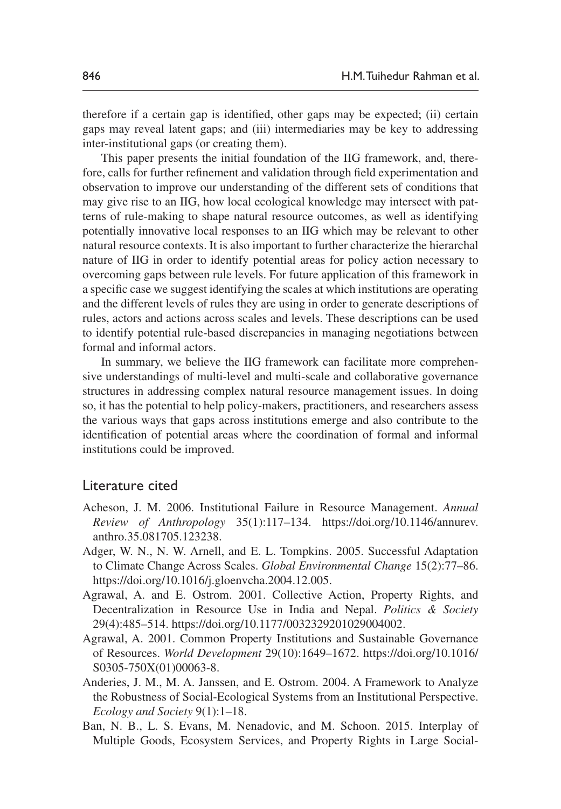therefore if a certain gap is identified, other gaps may be expected; (ii) certain gaps may reveal latent gaps; and (iii) intermediaries may be key to addressing inter-institutional gaps (or creating them).

This paper presents the initial foundation of the IIG framework, and, therefore, calls for further refinement and validation through field experimentation and observation to improve our understanding of the different sets of conditions that may give rise to an IIG, how local ecological knowledge may intersect with patterns of rule-making to shape natural resource outcomes, as well as identifying potentially innovative local responses to an IIG which may be relevant to other natural resource contexts. It is also important to further characterize the hierarchal nature of IIG in order to identify potential areas for policy action necessary to overcoming gaps between rule levels. For future application of this framework in a specific case we suggest identifying the scales at which institutions are operating and the different levels of rules they are using in order to generate descriptions of rules, actors and actions across scales and levels. These descriptions can be used to identify potential rule-based discrepancies in managing negotiations between formal and informal actors.

In summary, we believe the IIG framework can facilitate more comprehensive understandings of multi-level and multi-scale and collaborative governance structures in addressing complex natural resource management issues. In doing so, it has the potential to help policy-makers, practitioners, and researchers assess the various ways that gaps across institutions emerge and also contribute to the identification of potential areas where the coordination of formal and informal institutions could be improved.

### Literature cited

- Acheson, J. M. 2006. Institutional Failure in Resource Management. *Annual Review of Anthropology* 35(1):117–134. [https://doi.org/10.1146/annurev.](https://doi.org/10.1146/annurev.anthro.35.081705.123238) [anthro.35.081705.123238](https://doi.org/10.1146/annurev.anthro.35.081705.123238).
- Adger, W. N., N. W. Arnell, and E. L. Tompkins. 2005. Successful Adaptation to Climate Change Across Scales. *Global Environmental Change* 15(2):77–86. [https://doi.org/10.1016/j.gloenvcha.2004.12.005.](https://doi.org/10.1016/j.gloenvcha.2004.12.005)
- Agrawal, A. and E. Ostrom. 2001. Collective Action, Property Rights, and Decentralization in Resource Use in India and Nepal. *Politics & Society* 29(4):485–514. [https://doi.org/10.1177/0032329201029004002.](https://doi.org/10.1177/0032329201029004002)
- Agrawal, A. 2001. Common Property Institutions and Sustainable Governance of Resources. *World Development* 29(10):1649–1672. [https://doi.org/10.1016/](https://doi.org/10.1016/S0305-750X%2801%2900063-8) [S0305-750X\(01\)00063-8](https://doi.org/10.1016/S0305-750X%2801%2900063-8).
- Anderies, J. M., M. A. Janssen, and E. Ostrom. 2004. A Framework to Analyze the Robustness of Social-Ecological Systems from an Institutional Perspective. *Ecology and Society* 9(1):1–18.
- Ban, N. B., L. S. Evans, M. Nenadovic, and M. Schoon. 2015. Interplay of Multiple Goods, Ecosystem Services, and Property Rights in Large Social-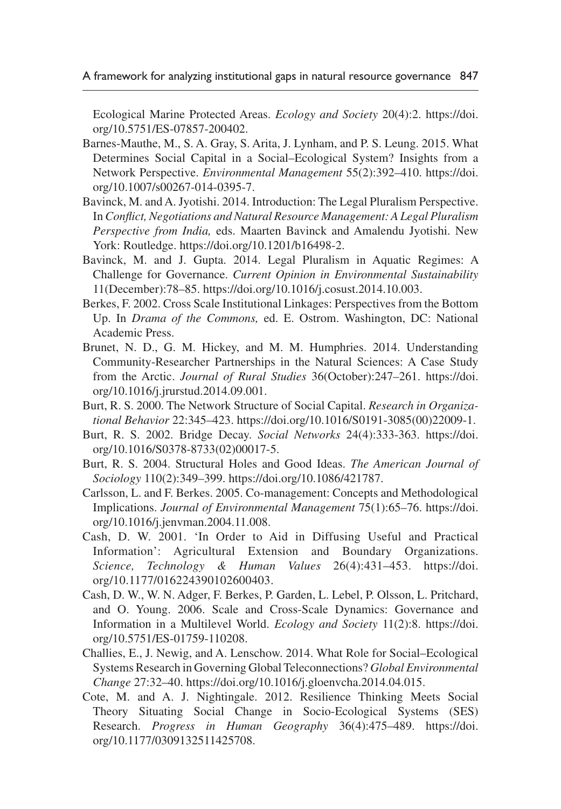Ecological Marine Protected Areas. *Ecology and Society* 20(4):2. [https://doi.](https://doi.org/10.5751/ES-07857-200402) [org/10.5751/ES-07857-200402.](https://doi.org/10.5751/ES-07857-200402)

- Barnes-Mauthe, M., S. A. Gray, S. Arita, J. Lynham, and P. S. Leung. 2015. What Determines Social Capital in a Social–Ecological System? Insights from a Network Perspective. *Environmental Management* 55(2):392–410. [https://doi.](https://doi.org/10.1007/s00267-014-0395-7) [org/10.1007/s00267-014-0395-7](https://doi.org/10.1007/s00267-014-0395-7).
- Bavinck, M. and A. Jyotishi. 2014. Introduction: The Legal Pluralism Perspective. In *Conflict, Negotiations and Natural Resource Management: A Legal Pluralism Perspective from India,* eds. Maarten Bavinck and Amalendu Jyotishi. New York: Routledge. [https://doi.org/10.1201/b16498-2.](https://doi.org/10.1007/s00267-014-0395-7)
- Bavinck, M. and J. Gupta. 2014. Legal Pluralism in Aquatic Regimes: A Challenge for Governance. *Current Opinion in Environmental Sustainability* 11(December):78–85. <https://doi.org/10.1016/j.cosust.2014.10.003>.
- Berkes, F. 2002. Cross Scale Institutional Linkages: Perspectives from the Bottom Up. In *Drama of the Commons,* ed. E. Ostrom. Washington, DC: National Academic Press.
- Brunet, N. D., G. M. Hickey, and M. M. Humphries. 2014. Understanding Community-Researcher Partnerships in the Natural Sciences: A Case Study from the Arctic. *Journal of Rural Studies* 36(October):247–261. [https://doi.](https://doi.org/10.1016/j.jrurstud.2014.09.001) [org/10.1016/j.jrurstud.2014.09.001.](https://doi.org/10.1016/j.jrurstud.2014.09.001)
- Burt, R. S. 2000. The Network Structure of Social Capital. *Research in Organizational Behavior* 22:345–423. [https://doi.org/10.1016/S0191-3085\(00\)22009-1](https://doi.org/10.1016/S0191-3085%2800%2922009-1).
- Burt, R. S. 2002. Bridge Decay. *Social Networks* 24(4):333-363. [https://doi.](https://doi.org/10.1016/S0378-8733%2802%2900017-5) [org/10.1016/S0378-8733\(02\)00017-5](https://doi.org/10.1016/S0378-8733%2802%2900017-5).
- Burt, R. S. 2004. Structural Holes and Good Ideas. *The American Journal of Sociology* 110(2):349–399. [https://doi.org/10.1086/421787.](https://doi.org/10.1086/421787)
- Carlsson, L. and F. Berkes. 2005. Co-management: Concepts and Methodological Implications. *Journal of Environmental Management* 75(1):65–76. [https://doi.](https://doi.org/10.1016/j.jenvman.2004.11.008) [org/10.1016/j.jenvman.2004.11.008](https://doi.org/10.1016/j.jenvman.2004.11.008).
- Cash, D. W. 2001. 'In Order to Aid in Diffusing Useful and Practical Information': Agricultural Extension and Boundary Organizations. *Science, Technology & Human Values* 26(4):431–453. [https://doi.](https://doi.org/10.1177/016224390102600403) [org/10.1177/016224390102600403](https://doi.org/10.1177/016224390102600403).
- Cash, D. W., W. N. Adger, F. Berkes, P. Garden, L. Lebel, P. Olsson, L. Pritchard, and O. Young. 2006. Scale and Cross-Scale Dynamics: Governance and Information in a Multilevel World. *Ecology and Society* 11(2):8. [https://doi.](https://doi.org/10.5751/ES-01759-110208) [org/10.5751/ES-01759-110208](https://doi.org/10.5751/ES-01759-110208).
- Challies, E., J. Newig, and A. Lenschow. 2014. What Role for Social–Ecological Systems Research in Governing Global Teleconnections? *Global Environmental Change* 27:32–40. [https://doi.org/10.1016/j.gloenvcha.2014.04.015.](https://doi.org/10.1016/j.gloenvcha.2014.04.015)
- Cote, M. and A. J. Nightingale. 2012. Resilience Thinking Meets Social Theory Situating Social Change in Socio-Ecological Systems (SES) Research. *Progress in Human Geography* 36(4):475–489. [https://doi.](https://doi.org/10.1177/0309132511425708) [org/10.1177/0309132511425708.](https://doi.org/10.1177/0309132511425708)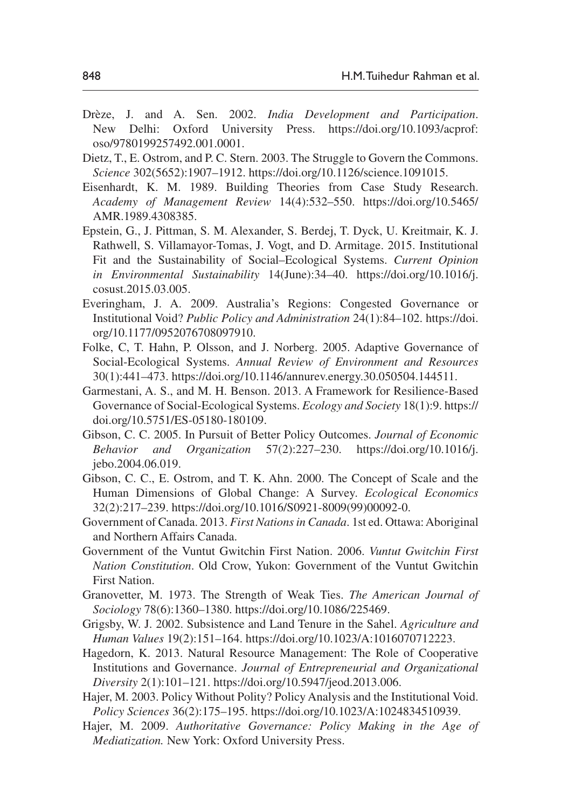- Drèze, J. and A. Sen. 2002. *India Development and Participation*. New Delhi: Oxford University Press. [https://doi.org/10.1093/acprof:](https://doi.org/10.1093/acprof:oso/9780199257492.001.0001) [oso/9780199257492.001.0001.](https://doi.org/10.1093/acprof:oso/9780199257492.001.0001)
- Dietz, T., E. Ostrom, and P. C. Stern. 2003. The Struggle to Govern the Commons. *Science* 302(5652):1907–1912. [https://doi.org/10.1126/science.1091015.](https://doi.org/10.1126/science.1091015)
- Eisenhardt, K. M. 1989. Building Theories from Case Study Research. *Academy of Management Review* 14(4):532–550. [https://doi.org/10.5465/](https://doi.org/10.5465/AMR.1989.4308385) [AMR.1989.4308385.](https://doi.org/10.5465/AMR.1989.4308385)
- Epstein, G., J. Pittman, S. M. Alexander, S. Berdej, T. Dyck, U. Kreitmair, K. J. Rathwell, S. Villamayor-Tomas, J. Vogt, and D. Armitage. 2015. Institutional Fit and the Sustainability of Social–Ecological Systems. *Current Opinion in Environmental Sustainability* 14(June):34–40. [https://doi.org/10.1016/j.](https://doi.org/10.1016/j.cosust.2015.03.005) [cosust.2015.03.005](https://doi.org/10.1016/j.cosust.2015.03.005).
- Everingham, J. A. 2009. Australia's Regions: Congested Governance or Institutional Void? *Public Policy and Administration* 24(1):84–102. [https://doi.](https://doi.org/10.1177/0952076708097910) [org/10.1177/0952076708097910](https://doi.org/10.1177/0952076708097910).
- Folke, C, T. Hahn, P. Olsson, and J. Norberg. 2005. Adaptive Governance of Social-Ecological Systems. *Annual Review of Environment and Resources* 30(1):441–473. [https://doi.org/10.1146/annurev.energy.30.050504.144511.](https://doi.org/10.1146/annurev.energy.30.050504.144511)
- Garmestani, A. S., and M. H. Benson. 2013. A Framework for Resilience-Based Governance of Social-Ecological Systems. *Ecology and Society* 18(1):9. [https://](https://doi.org/10.5751/ES-05180-180109) [doi.org/10.5751/ES-05180-180109.](https://doi.org/10.5751/ES-05180-180109)
- Gibson, C. C. 2005. In Pursuit of Better Policy Outcomes. *Journal of Economic Behavior and Organization* 57(2):227–230. [https://doi.org/10.1016/j.](https://doi.org/10.1016/j.jebo.2004.06.019) [jebo.2004.06.019](https://doi.org/10.1016/j.jebo.2004.06.019).
- Gibson, C. C., E. Ostrom, and T. K. Ahn. 2000. The Concept of Scale and the Human Dimensions of Global Change: A Survey. *Ecological Economics* 32(2):217–239. [https://doi.org/10.1016/S0921-8009\(99\)00092-0](https://doi.org/10.1016/S0921-8009%2899%2900092-0).
- Government of Canada. 2013. *First Nations in Canada*. 1st ed. Ottawa: Aboriginal and Northern Affairs Canada.
- Government of the Vuntut Gwitchin First Nation. 2006. *Vuntut Gwitchin First Nation Constitution*. Old Crow, Yukon: Government of the Vuntut Gwitchin First Nation.
- Granovetter, M. 1973. The Strength of Weak Ties. *The American Journal of Sociology* 78(6):1360–1380. [https://doi.org/10.1086/225469.](https://doi.org/10.1086/225469)
- Grigsby, W. J. 2002. Subsistence and Land Tenure in the Sahel. *Agriculture and Human Values* 19(2):151–164. [https://doi.org/10.1023/A:1016070712223.](https://doi.org/10.1023/A:1016070712223)
- Hagedorn, K. 2013. Natural Resource Management: The Role of Cooperative Institutions and Governance. *Journal of Entrepreneurial and Organizational Diversity* 2(1):101–121.<https://doi.org/10.5947/jeod.2013.006>.
- Hajer, M. 2003. Policy Without Polity? Policy Analysis and the Institutional Void. *Policy Sciences* 36(2):175–195. <https://doi.org/10.1023/A:1024834510939>.
- Hajer, M. 2009. *Authoritative Governance: Policy Making in the Age of Mediatization.* New York: Oxford University Press.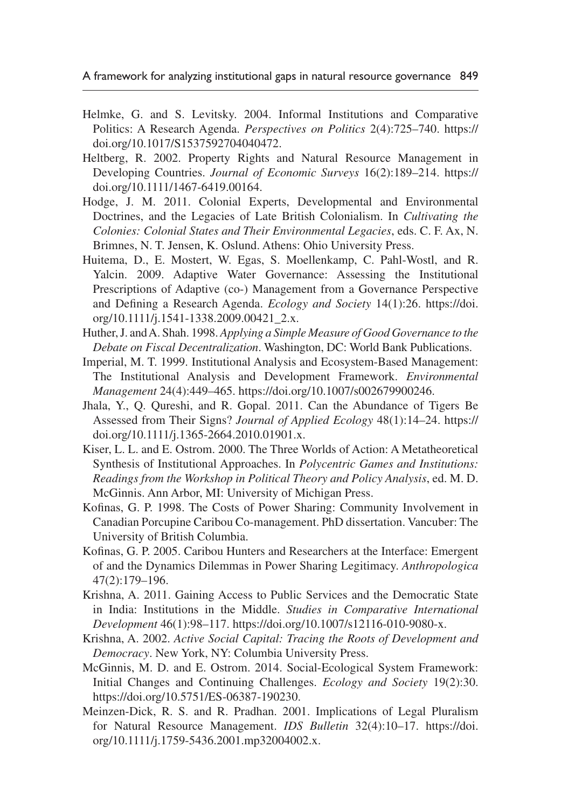- Helmke, G. and S. Levitsky. 2004. Informal Institutions and Comparative Politics: A Research Agenda. *Perspectives on Politics* 2(4):725–740. [https://](https://doi.org/10.1017/S1537592704040472) [doi.org/10.1017/S1537592704040472.](https://doi.org/10.1017/S1537592704040472)
- Heltberg, R. 2002. Property Rights and Natural Resource Management in Developing Countries. *Journal of Economic Surveys* 16(2):189–214. [https://](https://doi.org/10.1111/1467-6419.00164) [doi.org/10.1111/1467-6419.00164.](https://doi.org/10.1111/1467-6419.00164)
- Hodge, J. M. 2011. Colonial Experts, Developmental and Environmental Doctrines, and the Legacies of Late British Colonialism. In *Cultivating the Colonies: Colonial States and Their Environmental Legacies*, eds. C. F. Ax, N. Brimnes, N. T. Jensen, K. Oslund. Athens: Ohio University Press.
- Huitema, D., E. Mostert, W. Egas, S. Moellenkamp, C. Pahl-Wostl, and R. Yalcin. 2009. Adaptive Water Governance: Assessing the Institutional Prescriptions of Adaptive (co-) Management from a Governance Perspective and Defining a Research Agenda. *Ecology and Society* 14(1):26. [https://doi.](https://doi.org/10.1111/j.1541-1338.2009.00421_2.x) [org/10.1111/j.1541-1338.2009.00421\\_2.x](https://doi.org/10.1111/j.1541-1338.2009.00421_2.x).
- Huther, J. and A. Shah. 1998. *Applying a Simple Measure of Good Governance to the Debate on Fiscal Decentralization*. Washington, DC: World Bank Publications.
- Imperial, M. T. 1999. Institutional Analysis and Ecosystem-Based Management: The Institutional Analysis and Development Framework. *Environmental Management* 24(4):449–465. <https://doi.org/10.1007/s002679900246>.
- Jhala, Y., Q. Qureshi, and R. Gopal. 2011. Can the Abundance of Tigers Be Assessed from Their Signs? *Journal of Applied Ecology* 48(1):14–24. [https://](https://doi.org/10.1111/j.1365-2664.2010.01901.x) [doi.org/10.1111/j.1365-2664.2010.01901.x.](https://doi.org/10.1111/j.1365-2664.2010.01901.x)
- Kiser, L. L. and E. Ostrom. 2000. The Three Worlds of Action: A Metatheoretical Synthesis of Institutional Approaches. In *Polycentric Games and Institutions: Readings from the Workshop in Political Theory and Policy Analysis*, ed. M. D. McGinnis. Ann Arbor, MI: University of Michigan Press.
- Kofinas, G. P. 1998. The Costs of Power Sharing: Community Involvement in Canadian Porcupine Caribou Co-management. PhD dissertation. Vancuber: The University of British Columbia.
- Kofinas, G. P. 2005. Caribou Hunters and Researchers at the Interface: Emergent of and the Dynamics Dilemmas in Power Sharing Legitimacy. *Anthropologica* 47(2):179–196.
- Krishna, A. 2011. Gaining Access to Public Services and the Democratic State in India: Institutions in the Middle. *Studies in Comparative International Development* 46(1):98–117. <https://doi.org/10.1007/s12116-010-9080-x>.
- Krishna, A. 2002. *Active Social Capital: Tracing the Roots of Development and Democracy*. New York, NY: Columbia University Press.
- McGinnis, M. D. and E. Ostrom. 2014. Social-Ecological System Framework: Initial Changes and Continuing Challenges. *Ecology and Society* 19(2):30. [https://doi.org/10.5751/ES-06387-190230.](https://doi.org/10.5751/ES-06387-190230)
- Meinzen-Dick, R. S. and R. Pradhan. 2001. Implications of Legal Pluralism for Natural Resource Management. *IDS Bulletin* 32(4):10–17. [https://doi.](https://doi.org/10.1111/j.1759-5436.2001.mp32004002.x) [org/10.1111/j.1759-5436.2001.mp32004002.x](https://doi.org/10.1111/j.1759-5436.2001.mp32004002.x).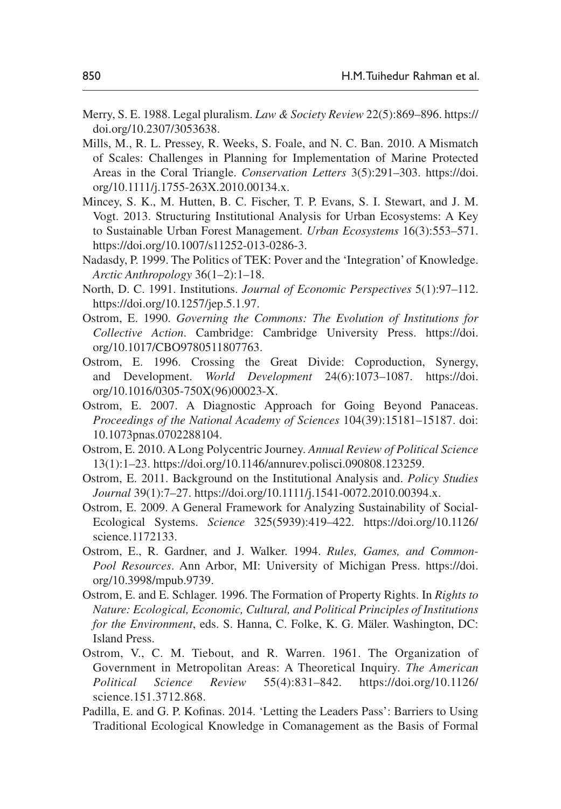- Merry, S. E. 1988. Legal pluralism. *Law & Society Review* 22(5):869–896. [https://](https://doi.org/10.2307/3053638) [doi.org/10.2307/3053638](https://doi.org/10.2307/3053638).
- Mills, M., R. L. Pressey, R. Weeks, S. Foale, and N. C. Ban. 2010. A Mismatch of Scales: Challenges in Planning for Implementation of Marine Protected Areas in the Coral Triangle. *Conservation Letters* 3(5):291–303. [https://doi.](https://doi.org/10.1111/j.1755-263X.2010.00134.x) [org/10.1111/j.1755-263X.2010.00134.x](https://doi.org/10.1111/j.1755-263X.2010.00134.x).
- Mincey, S. K., M. Hutten, B. C. Fischer, T. P. Evans, S. I. Stewart, and J. M. Vogt. 2013. Structuring Institutional Analysis for Urban Ecosystems: A Key to Sustainable Urban Forest Management. *Urban Ecosystems* 16(3):553–571. <https://doi.org/10.1007/s11252-013-0286-3>.
- Nadasdy, P. 1999. The Politics of TEK: Pover and the 'Integration' of Knowledge. *Arctic Anthropology* 36(1–2):1–18.
- North, D. C. 1991. Institutions. *Journal of Economic Perspectives* 5(1):97–112. [https://doi.org/10.1257/jep.5.1.97.](https://doi.org/10.1257/jep.5.1.97)
- Ostrom, E. 1990. *Governing the Commons: The Evolution of Institutions for Collective Action*. Cambridge: Cambridge University Press. [https://doi.](https://doi.org/10.1017/CBO9780511807763) [org/10.1017/CBO9780511807763](https://doi.org/10.1017/CBO9780511807763).
- Ostrom, E. 1996. Crossing the Great Divide: Coproduction, Synergy, and Development. *World Development* 24(6):1073–1087. [https://doi.](https://doi.org/10.1016/0305-750X%2896%2900023-X) [org/10.1016/0305-750X\(96\)00023-X](https://doi.org/10.1016/0305-750X%2896%2900023-X).
- Ostrom, E. 2007. A Diagnostic Approach for Going Beyond Panaceas. *Proceedings of the National Academy of Sciences* 104(39):15181–15187. doi: 10.1073pnas.0702288104.
- Ostrom, E. 2010. A Long Polycentric Journey. *Annual Review of Political Science* 13(1):1–23. <https://doi.org/10.1146/annurev.polisci.090808.123259>.
- Ostrom, E. 2011. Background on the Institutional Analysis and. *Policy Studies Journal* 39(1):7–27.<https://doi.org/10.1111/j.1541-0072.2010.00394.x>.
- Ostrom, E. 2009. A General Framework for Analyzing Sustainability of Social-Ecological Systems. *Science* 325(5939):419–422. [https://doi.org/10.1126/](https://doi.org/10.1126/science.1172133) [science.1172133.](https://doi.org/10.1126/science.1172133)
- Ostrom, E., R. Gardner, and J. Walker. 1994. *Rules, Games, and Common-Pool Resources*. Ann Arbor, MI: University of Michigan Press. [https://doi.](https://doi.org/10.3998/mpub.9739) [org/10.3998/mpub.9739](https://doi.org/10.3998/mpub.9739).
- Ostrom, E. and E. Schlager. 1996. The Formation of Property Rights. In *Rights to Nature: Ecological, Economic, Cultural, and Political Principles of Institutions for the Environment*, eds. S. Hanna, C. Folke, K. G. Mäler. Washington, DC: Island Press.
- Ostrom, V., C. M. Tiebout, and R. Warren. 1961. The Organization of Government in Metropolitan Areas: A Theoretical Inquiry. *The American Political Science Review* 55(4):831–842. [https://doi.org/10.1126/](https://doi.org/10.1126/science.151.3712.868) [science.151.3712.868](https://doi.org/10.1126/science.151.3712.868).
- Padilla, E. and G. P. Kofinas. 2014. 'Letting the Leaders Pass': Barriers to Using Traditional Ecological Knowledge in Comanagement as the Basis of Formal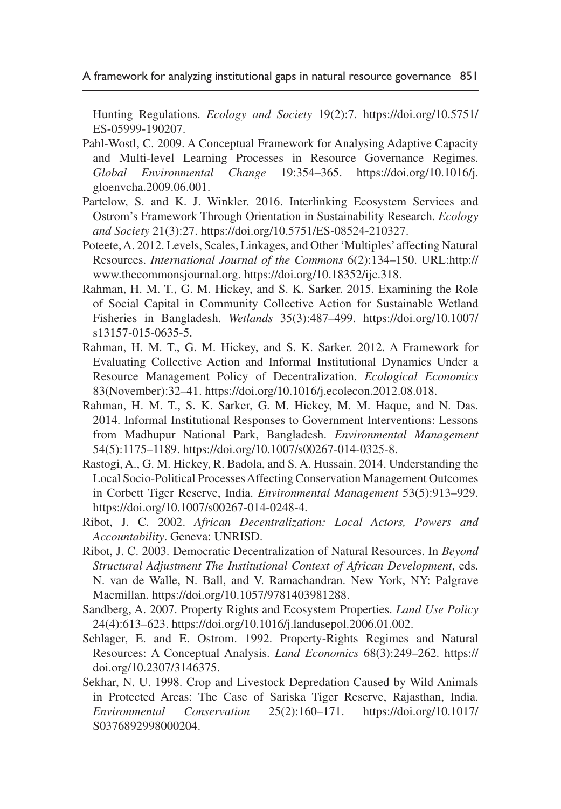Hunting Regulations. *Ecology and Society* 19(2):7. [https://doi.org/10.5751/](https://doi.org/10.5751/ES-05999-190207) [ES-05999-190207.](https://doi.org/10.5751/ES-05999-190207)

- Pahl-Wostl, C. 2009. A Conceptual Framework for Analysing Adaptive Capacity and Multi-level Learning Processes in Resource Governance Regimes. *Global Environmental Change* 19:354–365. [https://doi.org/10.1016/j.](https://doi.org/10.1016/j.gloenvcha.2009.06.001) [gloenvcha.2009.06.001](https://doi.org/10.1016/j.gloenvcha.2009.06.001).
- Partelow, S. and K. J. Winkler. 2016. Interlinking Ecosystem Services and Ostrom's Framework Through Orientation in Sustainability Research. *Ecology and Society* 21(3):27. [https://doi.org/10.5751/ES-08524-210327.](https://doi.org/10.5751/ES-08524-210327)
- Poteete, A. 2012. Levels, Scales, Linkages, and Other 'Multiples' affecting Natural Resources. *International Journal of the Commons* 6(2):134–150. URL:[http://](http://www.thecommonsjournal.org) [www.thecommonsjournal.org](http://www.thecommonsjournal.org). [https://doi.org/10.18352/ijc.318.](https://doi.org/10.18352/ijc.318)
- Rahman, H. M. T., G. M. Hickey, and S. K. Sarker. 2015. Examining the Role of Social Capital in Community Collective Action for Sustainable Wetland Fisheries in Bangladesh. *Wetlands* 35(3):487–499. [https://doi.org/10.1007/](https://doi.org/10.1007/s13157-015-0635-5) [s13157-015-0635-5.](https://doi.org/10.1007/s13157-015-0635-5)
- Rahman, H. M. T., G. M. Hickey, and S. K. Sarker. 2012. A Framework for Evaluating Collective Action and Informal Institutional Dynamics Under a Resource Management Policy of Decentralization. *Ecological Economics* 83(November):32–41.<https://doi.org/10.1016/j.ecolecon.2012.08.018>.
- Rahman, H. M. T., S. K. Sarker, G. M. Hickey, M. M. Haque, and N. Das. 2014. Informal Institutional Responses to Government Interventions: Lessons from Madhupur National Park, Bangladesh. *Environmental Management* 54(5):1175–1189.<https://doi.org/10.1007/s00267-014-0325-8>.
- Rastogi, A., G. M. Hickey, R. Badola, and S. A. Hussain. 2014. Understanding the Local Socio-Political Processes Affecting Conservation Management Outcomes in Corbett Tiger Reserve, India. *Environmental Management* 53(5):913–929. [https://doi.org/10.1007/s00267-014-0248-4.](https://doi.org/10.1007/s00267-014-0248-4)
- Ribot, J. C. 2002. *African Decentralization: Local Actors, Powers and Accountability*. Geneva: UNRISD.
- Ribot, J. C. 2003. Democratic Decentralization of Natural Resources. In *Beyond Structural Adjustment The Institutional Context of African Development*, eds. N. van de Walle, N. Ball, and V. Ramachandran. New York, NY: Palgrave Macmillan. [https://doi.org/10.1057/9781403981288.](https://doi.org/10.1057/9781403981288)
- Sandberg, A. 2007. Property Rights and Ecosystem Properties. *Land Use Policy* 24(4):613–623. [https://doi.org/10.1016/j.landusepol.2006.01.002.](https://doi.org/10.1016/j.landusepol.2006.01.002)
- Schlager, E. and E. Ostrom. 1992. Property-Rights Regimes and Natural Resources: A Conceptual Analysis. *Land Economics* 68(3):249–262. [https://](https://doi.org/10.2307/3146375) [doi.org/10.2307/3146375](https://doi.org/10.2307/3146375).
- Sekhar, N. U. 1998. Crop and Livestock Depredation Caused by Wild Animals in Protected Areas: The Case of Sariska Tiger Reserve, Rajasthan, India. *Environmental Conservation* 25(2):160–171. [https://doi.org/10.1017/](https://doi.org/10.1017/S0376892998000204) [S0376892998000204.](https://doi.org/10.1017/S0376892998000204)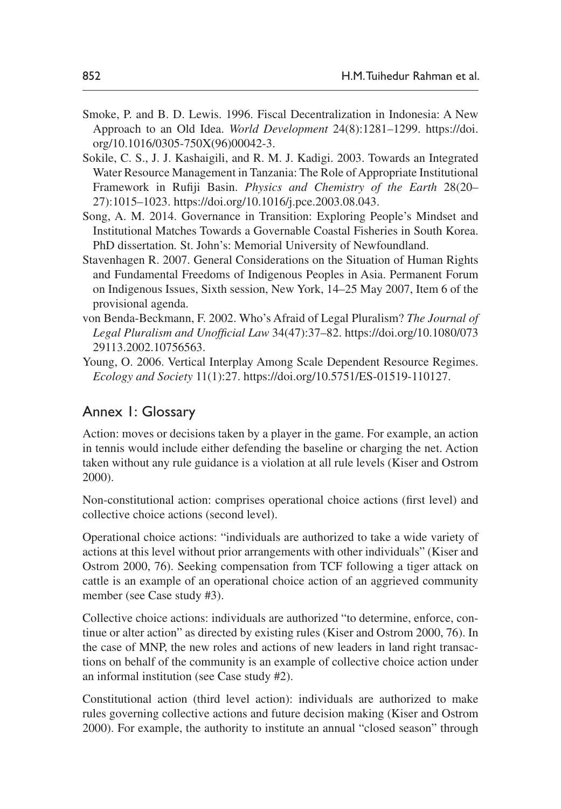- Smoke, P. and B. D. Lewis. 1996. Fiscal Decentralization in Indonesia: A New Approach to an Old Idea. *World Development* 24(8):1281–1299. [https://doi.](https://doi.org/10.1016/0305-750X%2896%2900042-3) [org/10.1016/0305-750X\(96\)00042-3.](https://doi.org/10.1016/0305-750X%2896%2900042-3)
- Sokile, C. S., J. J. Kashaigili, and R. M. J. Kadigi. 2003. Towards an Integrated Water Resource Management in Tanzania: The Role of Appropriate Institutional Framework in Rufiji Basin. *Physics and Chemistry of the Earth* 28(20– 27):1015–1023. [https://doi.org/10.1016/j.pce.2003.08.043.](https://doi.org/10.1016/j.pce.2003.08.043)
- Song, A. M. 2014. Governance in Transition: Exploring People's Mindset and Institutional Matches Towards a Governable Coastal Fisheries in South Korea. PhD dissertation*.* St. John's: Memorial University of Newfoundland.
- Stavenhagen R. 2007. General Considerations on the Situation of Human Rights and Fundamental Freedoms of Indigenous Peoples in Asia. Permanent Forum on Indigenous Issues, Sixth session, New York, 14–25 May 2007, Item 6 of the provisional agenda.
- von Benda-Beckmann, F. 2002. Who's Afraid of Legal Pluralism? *The Journal of Legal Pluralism and Unofficial Law* 34(47):37–82. [https://doi.org/10.1080/073](https://doi.org/10.1080/07329113.2002.10756563) [29113.2002.10756563.](https://doi.org/10.1080/07329113.2002.10756563)
- Young, O. 2006. Vertical Interplay Among Scale Dependent Resource Regimes. *Ecology and Society* 11(1):27. [https://doi.org/10.5751/ES-01519-110127.](https://doi.org/10.5751/ES-01519-110127)

# Annex 1: Glossary

Action: moves or decisions taken by a player in the game. For example, an action in tennis would include either defending the baseline or charging the net. Action taken without any rule guidance is a violation at all rule levels (Kiser and Ostrom 2000).

Non-constitutional action: comprises operational choice actions (first level) and collective choice actions (second level).

Operational choice actions: "individuals are authorized to take a wide variety of actions at this level without prior arrangements with other individuals" (Kiser and Ostrom 2000, 76). Seeking compensation from TCF following a tiger attack on cattle is an example of an operational choice action of an aggrieved community member (see Case study #3).

Collective choice actions: individuals are authorized "to determine, enforce, continue or alter action" as directed by existing rules (Kiser and Ostrom 2000, 76). In the case of MNP, the new roles and actions of new leaders in land right transactions on behalf of the community is an example of collective choice action under an informal institution (see Case study #2).

Constitutional action (third level action): individuals are authorized to make rules governing collective actions and future decision making (Kiser and Ostrom 2000). For example, the authority to institute an annual "closed season" through